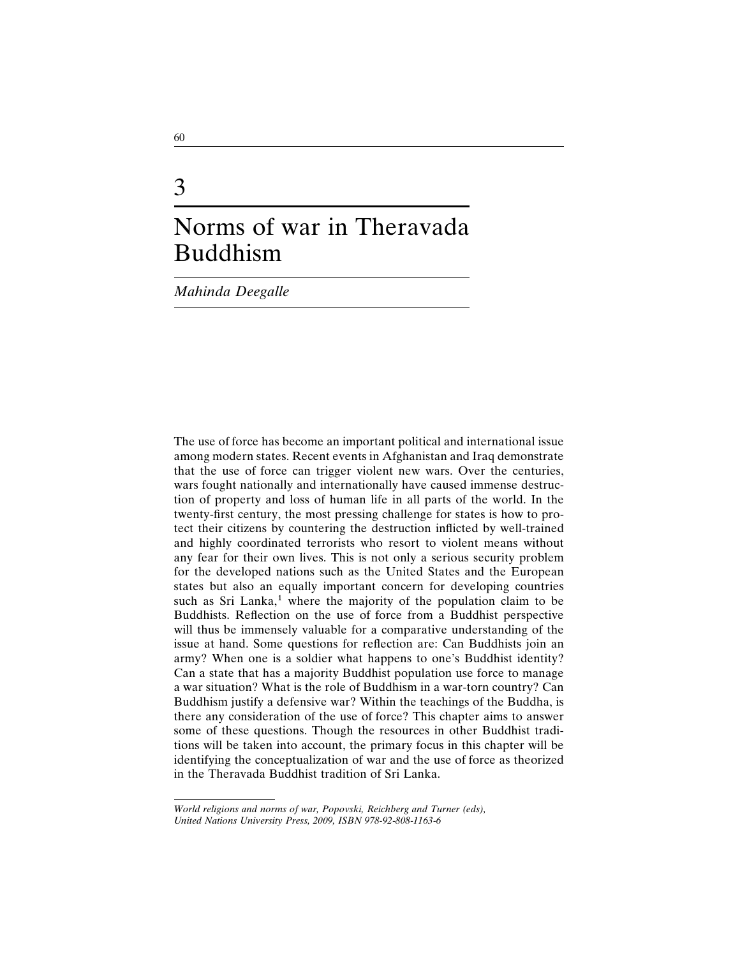# Norms of war in Theravada Buddhism

Mahinda Deegalle

The use of force has become an important political and international issue among modern states. Recent events in Afghanistan and Iraq demonstrate that the use of force can trigger violent new wars. Over the centuries, wars fought nationally and internationally have caused immense destruction of property and loss of human life in all parts of the world. In the twenty-first century, the most pressing challenge for states is how to protect their citizens by countering the destruction inflicted by well-trained and highly coordinated terrorists who resort to violent means without any fear for their own lives. This is not only a serious security problem for the developed nations such as the United States and the European states but also an equally important concern for developing countries such as Sri Lanka, $<sup>1</sup>$  where the majority of the population claim to be</sup> Buddhists. Reflection on the use of force from a Buddhist perspective will thus be immensely valuable for a comparative understanding of the issue at hand. Some questions for reflection are: Can Buddhists join an army? When one is a soldier what happens to one's Buddhist identity? Can a state that has a majority Buddhist population use force to manage a war situation? What is the role of Buddhism in a war-torn country? Can Buddhism justify a defensive war? Within the teachings of the Buddha, is there any consideration of the use of force? This chapter aims to answer some of these questions. Though the resources in other Buddhist traditions will be taken into account, the primary focus in this chapter will be identifying the conceptualization of war and the use of force as theorized in the Theravada Buddhist tradition of Sri Lanka.

3

World religions and norms of war, Popovski, Reichberg and Turner (eds), United Nations University Press, 2009, ISBN 978-92-808-1163-6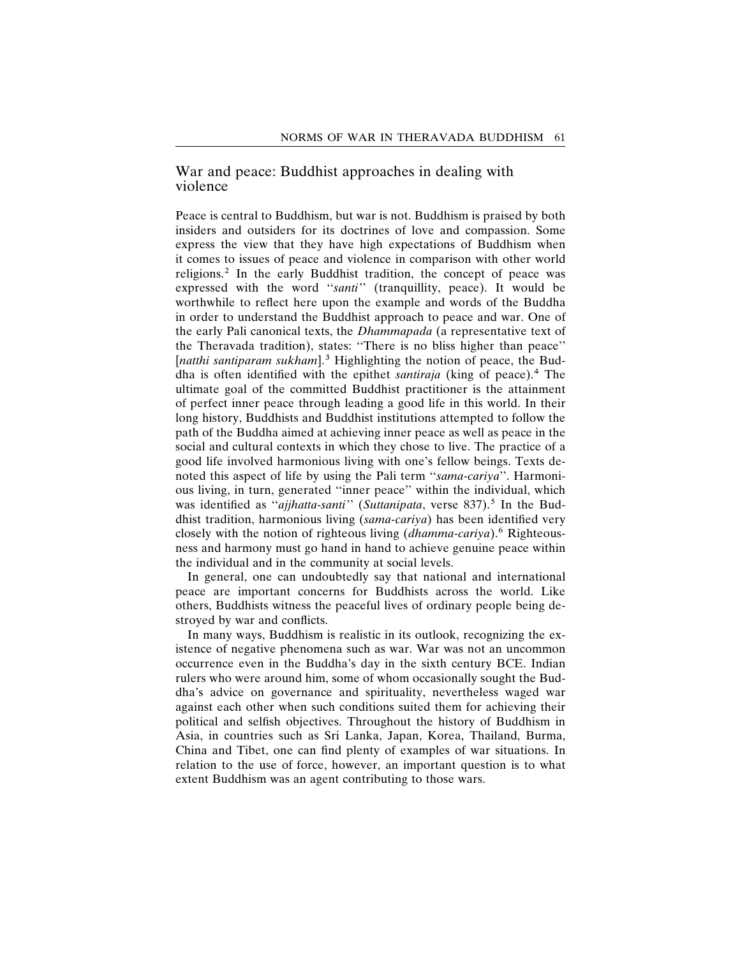## War and peace: Buddhist approaches in dealing with violence

Peace is central to Buddhism, but war is not. Buddhism is praised by both insiders and outsiders for its doctrines of love and compassion. Some express the view that they have high expectations of Buddhism when it comes to issues of peace and violence in comparison with other world religions.2 In the early Buddhist tradition, the concept of peace was expressed with the word "santi" (tranquillity, peace). It would be worthwhile to reflect here upon the example and words of the Buddha in order to understand the Buddhist approach to peace and war. One of the early Pali canonical texts, the Dhammapada (a representative text of the Theravada tradition), states: ''There is no bliss higher than peace'' [natthi santiparam sukham].<sup>3</sup> Highlighting the notion of peace, the Buddha is often identified with the epithet *santiraja* (king of peace).<sup>4</sup> The ultimate goal of the committed Buddhist practitioner is the attainment of perfect inner peace through leading a good life in this world. In their long history, Buddhists and Buddhist institutions attempted to follow the path of the Buddha aimed at achieving inner peace as well as peace in the social and cultural contexts in which they chose to live. The practice of a good life involved harmonious living with one's fellow beings. Texts denoted this aspect of life by using the Pali term ''sama-cariya''. Harmonious living, in turn, generated ''inner peace'' within the individual, which was identified as "ajjhatta-santi" (Suttanipata, verse 837).<sup>5</sup> In the Buddhist tradition, harmonious living (sama-cariya) has been identified very closely with the notion of righteous living  $(dhamma\text{-}cariya)$ .<sup>6</sup> Righteousness and harmony must go hand in hand to achieve genuine peace within the individual and in the community at social levels.

In general, one can undoubtedly say that national and international peace are important concerns for Buddhists across the world. Like others, Buddhists witness the peaceful lives of ordinary people being destroyed by war and conflicts.

In many ways, Buddhism is realistic in its outlook, recognizing the existence of negative phenomena such as war. War was not an uncommon occurrence even in the Buddha's day in the sixth century BCE. Indian rulers who were around him, some of whom occasionally sought the Buddha's advice on governance and spirituality, nevertheless waged war against each other when such conditions suited them for achieving their political and selfish objectives. Throughout the history of Buddhism in Asia, in countries such as Sri Lanka, Japan, Korea, Thailand, Burma, China and Tibet, one can find plenty of examples of war situations. In relation to the use of force, however, an important question is to what extent Buddhism was an agent contributing to those wars.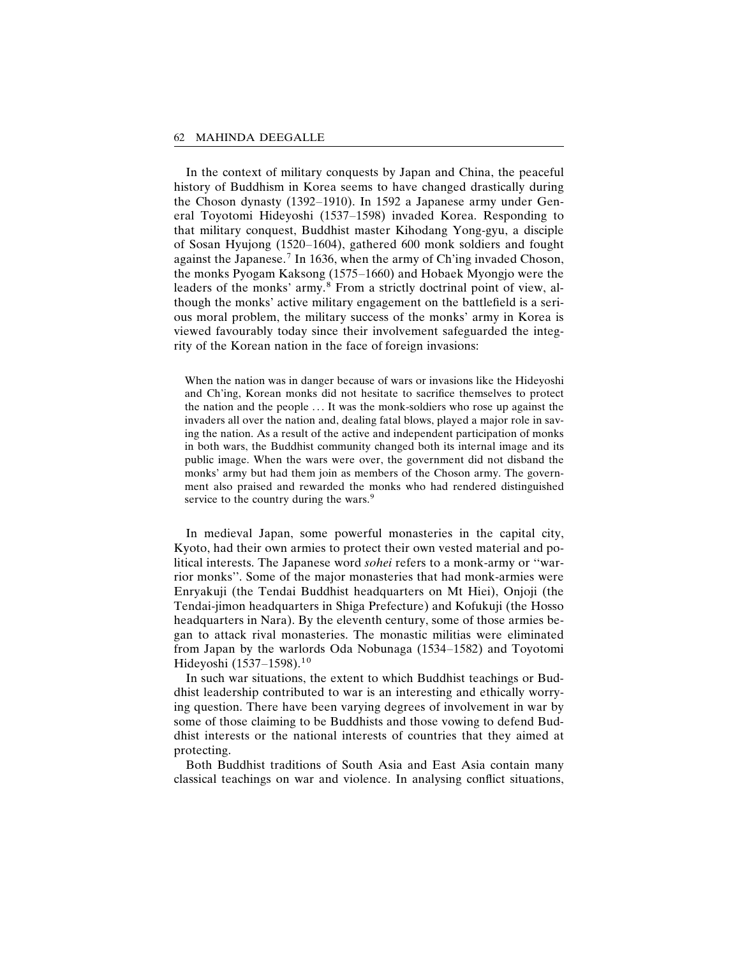In the context of military conquests by Japan and China, the peaceful history of Buddhism in Korea seems to have changed drastically during the Choson dynasty (1392–1910). In 1592 a Japanese army under General Toyotomi Hideyoshi (1537–1598) invaded Korea. Responding to that military conquest, Buddhist master Kihodang Yong-gyu, a disciple of Sosan Hyujong (1520–1604), gathered 600 monk soldiers and fought against the Japanese.<sup>7</sup> In 1636, when the army of Ch'ing invaded Choson, the monks Pyogam Kaksong (1575–1660) and Hobaek Myongjo were the leaders of the monks' army.<sup>8</sup> From a strictly doctrinal point of view, although the monks' active military engagement on the battlefield is a serious moral problem, the military success of the monks' army in Korea is viewed favourably today since their involvement safeguarded the integrity of the Korean nation in the face of foreign invasions:

When the nation was in danger because of wars or invasions like the Hideyoshi and Ch'ing, Korean monks did not hesitate to sacrifice themselves to protect the nation and the people . . . It was the monk-soldiers who rose up against the invaders all over the nation and, dealing fatal blows, played a major role in saving the nation. As a result of the active and independent participation of monks in both wars, the Buddhist community changed both its internal image and its public image. When the wars were over, the government did not disband the monks' army but had them join as members of the Choson army. The government also praised and rewarded the monks who had rendered distinguished service to the country during the wars.<sup>9</sup>

In medieval Japan, some powerful monasteries in the capital city, Kyoto, had their own armies to protect their own vested material and political interests. The Japanese word sohei refers to a monk-army or ''warrior monks''. Some of the major monasteries that had monk-armies were Enryakuji (the Tendai Buddhist headquarters on Mt Hiei), Onjoji (the Tendai-jimon headquarters in Shiga Prefecture) and Kofukuji (the Hosso headquarters in Nara). By the eleventh century, some of those armies began to attack rival monasteries. The monastic militias were eliminated from Japan by the warlords Oda Nobunaga (1534–1582) and Toyotomi Hideyoshi (1537–1598).<sup>10</sup>

In such war situations, the extent to which Buddhist teachings or Buddhist leadership contributed to war is an interesting and ethically worrying question. There have been varying degrees of involvement in war by some of those claiming to be Buddhists and those vowing to defend Buddhist interests or the national interests of countries that they aimed at protecting.

Both Buddhist traditions of South Asia and East Asia contain many classical teachings on war and violence. In analysing conflict situations,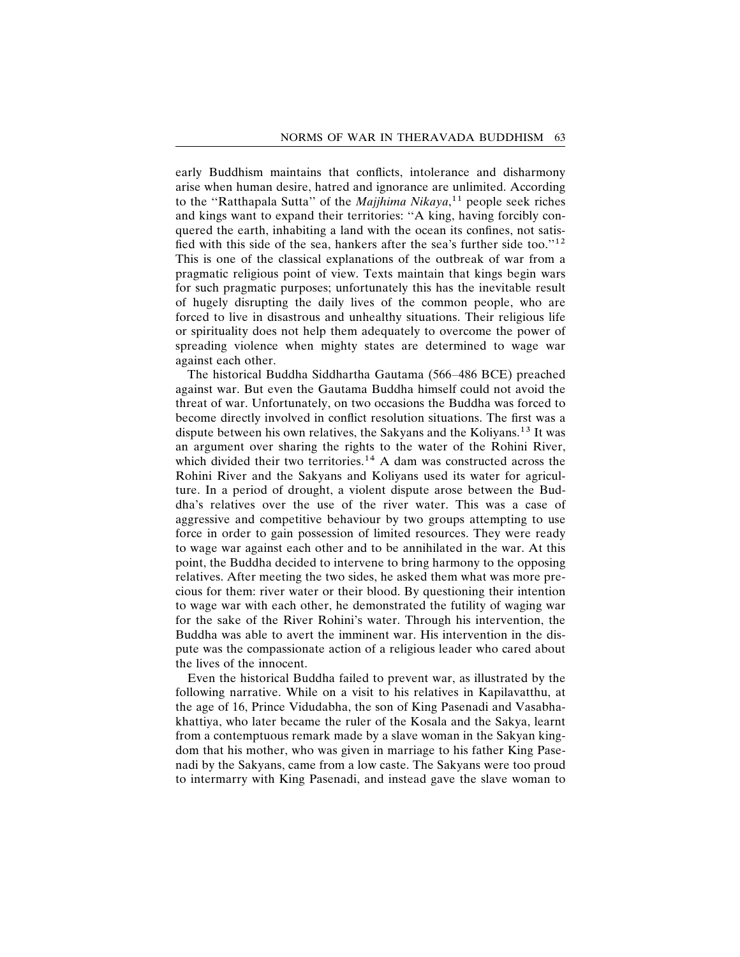early Buddhism maintains that conflicts, intolerance and disharmony arise when human desire, hatred and ignorance are unlimited. According to the "Ratthapala Sutta" of the *Majjhima Nikaya*,<sup>11</sup> people seek riches and kings want to expand their territories: ''A king, having forcibly conquered the earth, inhabiting a land with the ocean its confines, not satisfied with this side of the sea, hankers after the sea's further side too.''12 This is one of the classical explanations of the outbreak of war from a pragmatic religious point of view. Texts maintain that kings begin wars for such pragmatic purposes; unfortunately this has the inevitable result of hugely disrupting the daily lives of the common people, who are forced to live in disastrous and unhealthy situations. Their religious life or spirituality does not help them adequately to overcome the power of spreading violence when mighty states are determined to wage war against each other.

The historical Buddha Siddhartha Gautama (566–486 BCE) preached against war. But even the Gautama Buddha himself could not avoid the threat of war. Unfortunately, on two occasions the Buddha was forced to become directly involved in conflict resolution situations. The first was a dispute between his own relatives, the Sakyans and the Koliyans.13 It was an argument over sharing the rights to the water of the Rohini River, which divided their two territories.<sup>14</sup> A dam was constructed across the Rohini River and the Sakyans and Koliyans used its water for agriculture. In a period of drought, a violent dispute arose between the Buddha's relatives over the use of the river water. This was a case of aggressive and competitive behaviour by two groups attempting to use force in order to gain possession of limited resources. They were ready to wage war against each other and to be annihilated in the war. At this point, the Buddha decided to intervene to bring harmony to the opposing relatives. After meeting the two sides, he asked them what was more precious for them: river water or their blood. By questioning their intention to wage war with each other, he demonstrated the futility of waging war for the sake of the River Rohini's water. Through his intervention, the Buddha was able to avert the imminent war. His intervention in the dispute was the compassionate action of a religious leader who cared about the lives of the innocent.

Even the historical Buddha failed to prevent war, as illustrated by the following narrative. While on a visit to his relatives in Kapilavatthu, at the age of 16, Prince Vidudabha, the son of King Pasenadi and Vasabhakhattiya, who later became the ruler of the Kosala and the Sakya, learnt from a contemptuous remark made by a slave woman in the Sakyan kingdom that his mother, who was given in marriage to his father King Pasenadi by the Sakyans, came from a low caste. The Sakyans were too proud to intermarry with King Pasenadi, and instead gave the slave woman to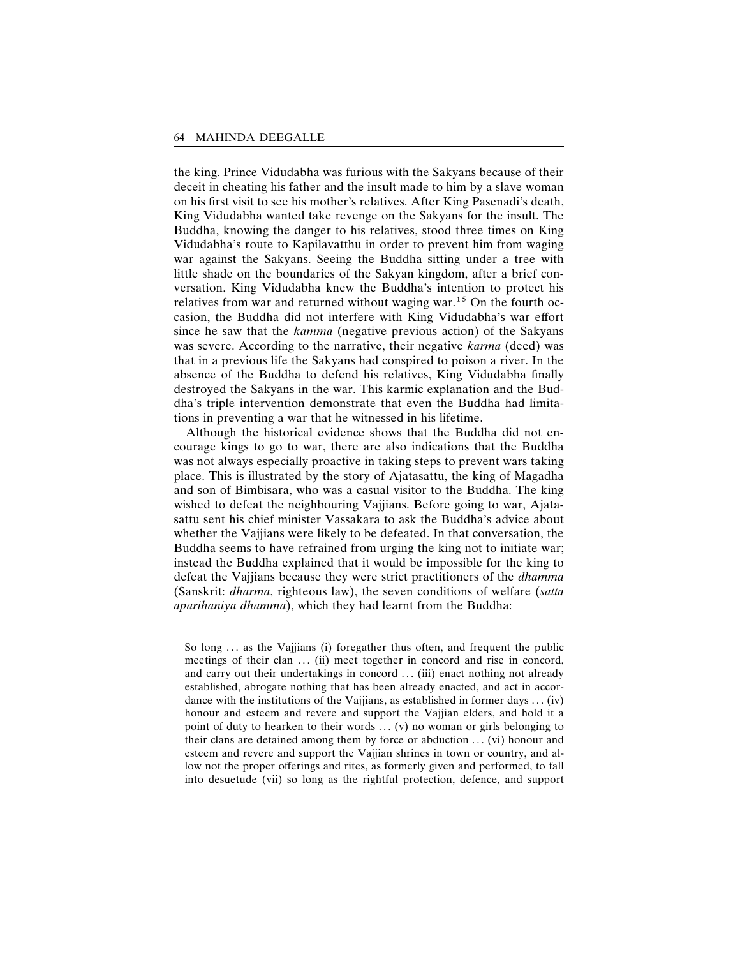the king. Prince Vidudabha was furious with the Sakyans because of their deceit in cheating his father and the insult made to him by a slave woman on his first visit to see his mother's relatives. After King Pasenadi's death, King Vidudabha wanted take revenge on the Sakyans for the insult. The Buddha, knowing the danger to his relatives, stood three times on King Vidudabha's route to Kapilavatthu in order to prevent him from waging war against the Sakyans. Seeing the Buddha sitting under a tree with little shade on the boundaries of the Sakyan kingdom, after a brief conversation, King Vidudabha knew the Buddha's intention to protect his relatives from war and returned without waging war.15 On the fourth occasion, the Buddha did not interfere with King Vidudabha's war effort since he saw that the kamma (negative previous action) of the Sakyans was severe. According to the narrative, their negative karma (deed) was that in a previous life the Sakyans had conspired to poison a river. In the absence of the Buddha to defend his relatives, King Vidudabha finally destroyed the Sakyans in the war. This karmic explanation and the Buddha's triple intervention demonstrate that even the Buddha had limitations in preventing a war that he witnessed in his lifetime.

Although the historical evidence shows that the Buddha did not encourage kings to go to war, there are also indications that the Buddha was not always especially proactive in taking steps to prevent wars taking place. This is illustrated by the story of Ajatasattu, the king of Magadha and son of Bimbisara, who was a casual visitor to the Buddha. The king wished to defeat the neighbouring Vajjians. Before going to war, Ajatasattu sent his chief minister Vassakara to ask the Buddha's advice about whether the Vajjians were likely to be defeated. In that conversation, the Buddha seems to have refrained from urging the king not to initiate war; instead the Buddha explained that it would be impossible for the king to defeat the Vajjians because they were strict practitioners of the dhamma (Sanskrit: dharma, righteous law), the seven conditions of welfare (satta aparihaniya dhamma), which they had learnt from the Buddha:

So long  $\ldots$  as the Vajjians (i) foregather thus often, and frequent the public meetings of their clan  $\ldots$  (ii) meet together in concord and rise in concord, and carry out their undertakings in concord . . . (iii) enact nothing not already established, abrogate nothing that has been already enacted, and act in accordance with the institutions of the Vajjians, as established in former days . . . (iv) honour and esteem and revere and support the Vajjian elders, and hold it a point of duty to hearken to their words  $\dots$  (v) no woman or girls belonging to their clans are detained among them by force or abduction . . . (vi) honour and esteem and revere and support the Vajjian shrines in town or country, and allow not the proper offerings and rites, as formerly given and performed, to fall into desuetude (vii) so long as the rightful protection, defence, and support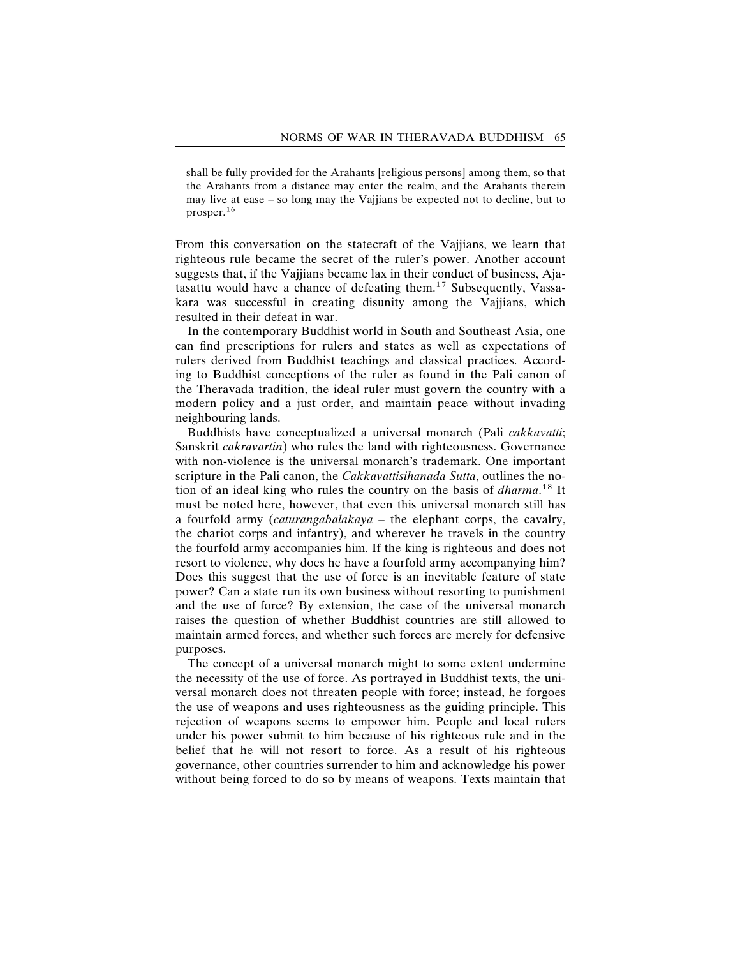shall be fully provided for the Arahants [religious persons] among them, so that the Arahants from a distance may enter the realm, and the Arahants therein may live at ease – so long may the Vajjians be expected not to decline, but to prosper.16

From this conversation on the statecraft of the Vajjians, we learn that righteous rule became the secret of the ruler's power. Another account suggests that, if the Vajjians became lax in their conduct of business, Ajatasattu would have a chance of defeating them.17 Subsequently, Vassakara was successful in creating disunity among the Vajjians, which resulted in their defeat in war.

In the contemporary Buddhist world in South and Southeast Asia, one can find prescriptions for rulers and states as well as expectations of rulers derived from Buddhist teachings and classical practices. According to Buddhist conceptions of the ruler as found in the Pali canon of the Theravada tradition, the ideal ruler must govern the country with a modern policy and a just order, and maintain peace without invading neighbouring lands.

Buddhists have conceptualized a universal monarch (Pali *cakkavatti*; Sanskrit cakravartin) who rules the land with righteousness. Governance with non-violence is the universal monarch's trademark. One important scripture in the Pali canon, the Cakkavattisihanada Sutta, outlines the notion of an ideal king who rules the country on the basis of *dharma*.<sup>18</sup> It must be noted here, however, that even this universal monarch still has a fourfold army *(caturangabalakaya –* the elephant corps, the cavalry, the chariot corps and infantry), and wherever he travels in the country the fourfold army accompanies him. If the king is righteous and does not resort to violence, why does he have a fourfold army accompanying him? Does this suggest that the use of force is an inevitable feature of state power? Can a state run its own business without resorting to punishment and the use of force? By extension, the case of the universal monarch raises the question of whether Buddhist countries are still allowed to maintain armed forces, and whether such forces are merely for defensive purposes.

The concept of a universal monarch might to some extent undermine the necessity of the use of force. As portrayed in Buddhist texts, the universal monarch does not threaten people with force; instead, he forgoes the use of weapons and uses righteousness as the guiding principle. This rejection of weapons seems to empower him. People and local rulers under his power submit to him because of his righteous rule and in the belief that he will not resort to force. As a result of his righteous governance, other countries surrender to him and acknowledge his power without being forced to do so by means of weapons. Texts maintain that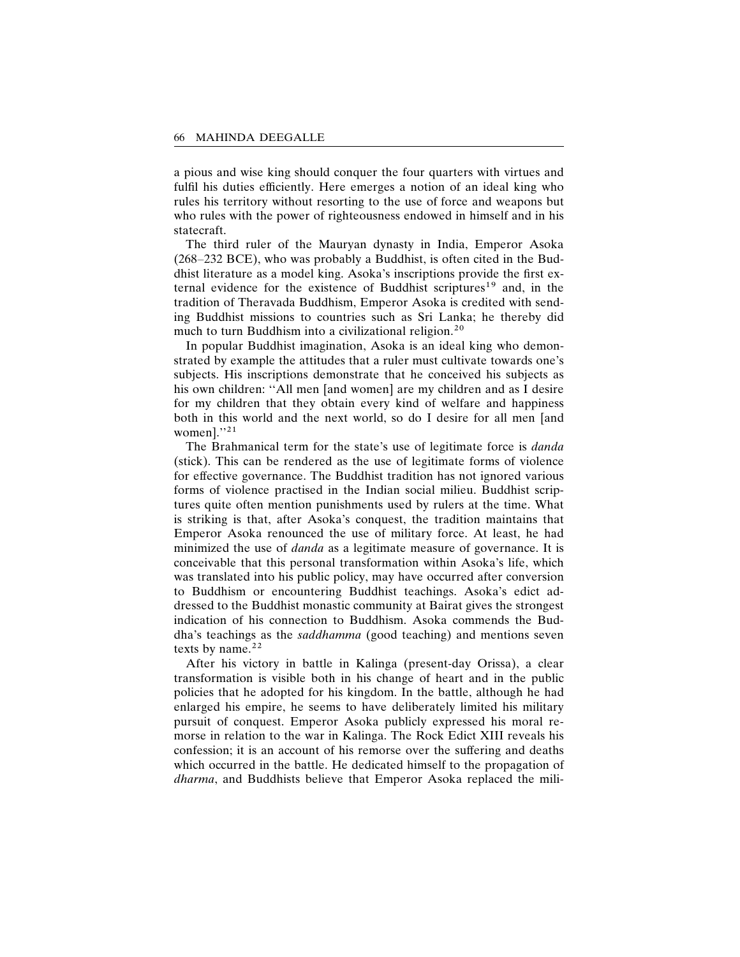a pious and wise king should conquer the four quarters with virtues and fulfil his duties efficiently. Here emerges a notion of an ideal king who rules his territory without resorting to the use of force and weapons but who rules with the power of righteousness endowed in himself and in his statecraft.

The third ruler of the Mauryan dynasty in India, Emperor Asoka (268–232 BCE), who was probably a Buddhist, is often cited in the Buddhist literature as a model king. Asoka's inscriptions provide the first external evidence for the existence of Buddhist scriptures<sup>19</sup> and, in the tradition of Theravada Buddhism, Emperor Asoka is credited with sending Buddhist missions to countries such as Sri Lanka; he thereby did much to turn Buddhism into a civilizational religion.20

In popular Buddhist imagination, Asoka is an ideal king who demonstrated by example the attitudes that a ruler must cultivate towards one's subjects. His inscriptions demonstrate that he conceived his subjects as his own children: ''All men [and women] are my children and as I desire for my children that they obtain every kind of welfare and happiness both in this world and the next world, so do I desire for all men [and women]. $"^{21}$ 

The Brahmanical term for the state's use of legitimate force is *danda* (stick). This can be rendered as the use of legitimate forms of violence for effective governance. The Buddhist tradition has not ignored various forms of violence practised in the Indian social milieu. Buddhist scriptures quite often mention punishments used by rulers at the time. What is striking is that, after Asoka's conquest, the tradition maintains that Emperor Asoka renounced the use of military force. At least, he had minimized the use of danda as a legitimate measure of governance. It is conceivable that this personal transformation within Asoka's life, which was translated into his public policy, may have occurred after conversion to Buddhism or encountering Buddhist teachings. Asoka's edict addressed to the Buddhist monastic community at Bairat gives the strongest indication of his connection to Buddhism. Asoka commends the Buddha's teachings as the saddhamma (good teaching) and mentions seven texts by name. $22$ 

After his victory in battle in Kalinga (present-day Orissa), a clear transformation is visible both in his change of heart and in the public policies that he adopted for his kingdom. In the battle, although he had enlarged his empire, he seems to have deliberately limited his military pursuit of conquest. Emperor Asoka publicly expressed his moral remorse in relation to the war in Kalinga. The Rock Edict XIII reveals his confession; it is an account of his remorse over the suffering and deaths which occurred in the battle. He dedicated himself to the propagation of dharma, and Buddhists believe that Emperor Asoka replaced the mili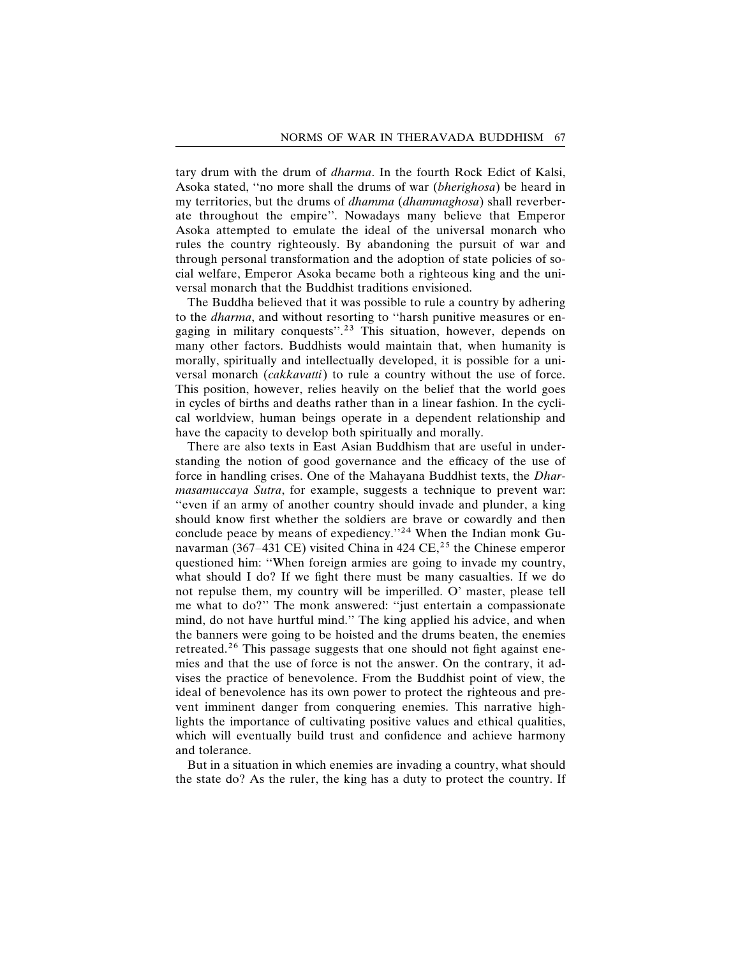tary drum with the drum of dharma. In the fourth Rock Edict of Kalsi, Asoka stated, ''no more shall the drums of war (bherighosa) be heard in my territories, but the drums of *dhamma (dhammaghosa)* shall reverberate throughout the empire''. Nowadays many believe that Emperor Asoka attempted to emulate the ideal of the universal monarch who rules the country righteously. By abandoning the pursuit of war and through personal transformation and the adoption of state policies of social welfare, Emperor Asoka became both a righteous king and the universal monarch that the Buddhist traditions envisioned.

The Buddha believed that it was possible to rule a country by adhering to the dharma, and without resorting to ''harsh punitive measures or engaging in military conquests".<sup>23</sup> This situation, however, depends on many other factors. Buddhists would maintain that, when humanity is morally, spiritually and intellectually developed, it is possible for a universal monarch (cakkavatti) to rule a country without the use of force. This position, however, relies heavily on the belief that the world goes in cycles of births and deaths rather than in a linear fashion. In the cyclical worldview, human beings operate in a dependent relationship and have the capacity to develop both spiritually and morally.

There are also texts in East Asian Buddhism that are useful in understanding the notion of good governance and the efficacy of the use of force in handling crises. One of the Mahayana Buddhist texts, the Dharmasamuccaya Sutra, for example, suggests a technique to prevent war: ''even if an army of another country should invade and plunder, a king should know first whether the soldiers are brave or cowardly and then conclude peace by means of expediency."<sup>24</sup> When the Indian monk Gunavarman (367–431 CE) visited China in 424 CE,<sup>25</sup> the Chinese emperor questioned him: ''When foreign armies are going to invade my country, what should I do? If we fight there must be many casualties. If we do not repulse them, my country will be imperilled. O' master, please tell me what to do?'' The monk answered: ''just entertain a compassionate mind, do not have hurtful mind.'' The king applied his advice, and when the banners were going to be hoisted and the drums beaten, the enemies retreated.26 This passage suggests that one should not fight against enemies and that the use of force is not the answer. On the contrary, it advises the practice of benevolence. From the Buddhist point of view, the ideal of benevolence has its own power to protect the righteous and prevent imminent danger from conquering enemies. This narrative highlights the importance of cultivating positive values and ethical qualities, which will eventually build trust and confidence and achieve harmony and tolerance.

But in a situation in which enemies are invading a country, what should the state do? As the ruler, the king has a duty to protect the country. If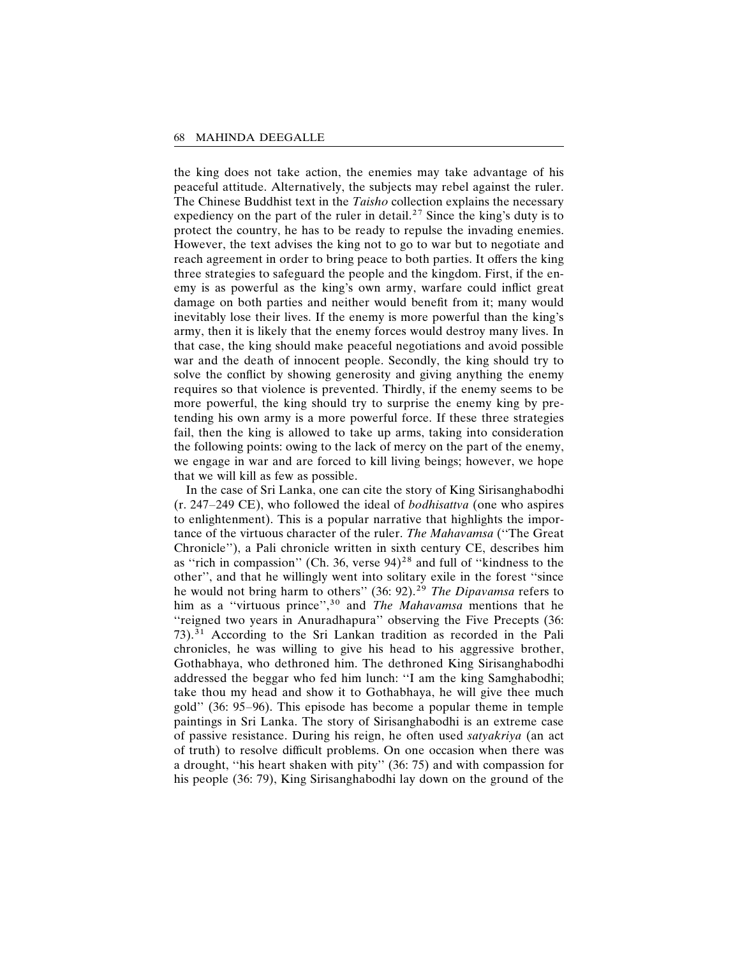the king does not take action, the enemies may take advantage of his peaceful attitude. Alternatively, the subjects may rebel against the ruler. The Chinese Buddhist text in the Taisho collection explains the necessary expediency on the part of the ruler in detail.<sup>27</sup> Since the king's duty is to protect the country, he has to be ready to repulse the invading enemies. However, the text advises the king not to go to war but to negotiate and reach agreement in order to bring peace to both parties. It offers the king three strategies to safeguard the people and the kingdom. First, if the enemy is as powerful as the king's own army, warfare could inflict great damage on both parties and neither would benefit from it; many would inevitably lose their lives. If the enemy is more powerful than the king's army, then it is likely that the enemy forces would destroy many lives. In that case, the king should make peaceful negotiations and avoid possible war and the death of innocent people. Secondly, the king should try to solve the conflict by showing generosity and giving anything the enemy requires so that violence is prevented. Thirdly, if the enemy seems to be more powerful, the king should try to surprise the enemy king by pretending his own army is a more powerful force. If these three strategies fail, then the king is allowed to take up arms, taking into consideration the following points: owing to the lack of mercy on the part of the enemy, we engage in war and are forced to kill living beings; however, we hope that we will kill as few as possible.

In the case of Sri Lanka, one can cite the story of King Sirisanghabodhi (r. 247–249 CE), who followed the ideal of bodhisattva (one who aspires to enlightenment). This is a popular narrative that highlights the importance of the virtuous character of the ruler. The Mahavamsa (''The Great Chronicle''), a Pali chronicle written in sixth century CE, describes him as "rich in compassion" (Ch. 36, verse  $94)^{28}$  and full of "kindness to the other'', and that he willingly went into solitary exile in the forest ''since he would not bring harm to others'' (36: 92).<sup>29</sup> The Dipavamsa refers to him as a "virtuous prince",<sup>30</sup> and *The Mahavamsa* mentions that he ''reigned two years in Anuradhapura'' observing the Five Precepts (36: 73).31 According to the Sri Lankan tradition as recorded in the Pali chronicles, he was willing to give his head to his aggressive brother, Gothabhaya, who dethroned him. The dethroned King Sirisanghabodhi addressed the beggar who fed him lunch: ''I am the king Samghabodhi; take thou my head and show it to Gothabhaya, he will give thee much gold'' (36: 95–96). This episode has become a popular theme in temple paintings in Sri Lanka. The story of Sirisanghabodhi is an extreme case of passive resistance. During his reign, he often used satyakriya (an act of truth) to resolve difficult problems. On one occasion when there was a drought, ''his heart shaken with pity'' (36: 75) and with compassion for his people (36: 79), King Sirisanghabodhi lay down on the ground of the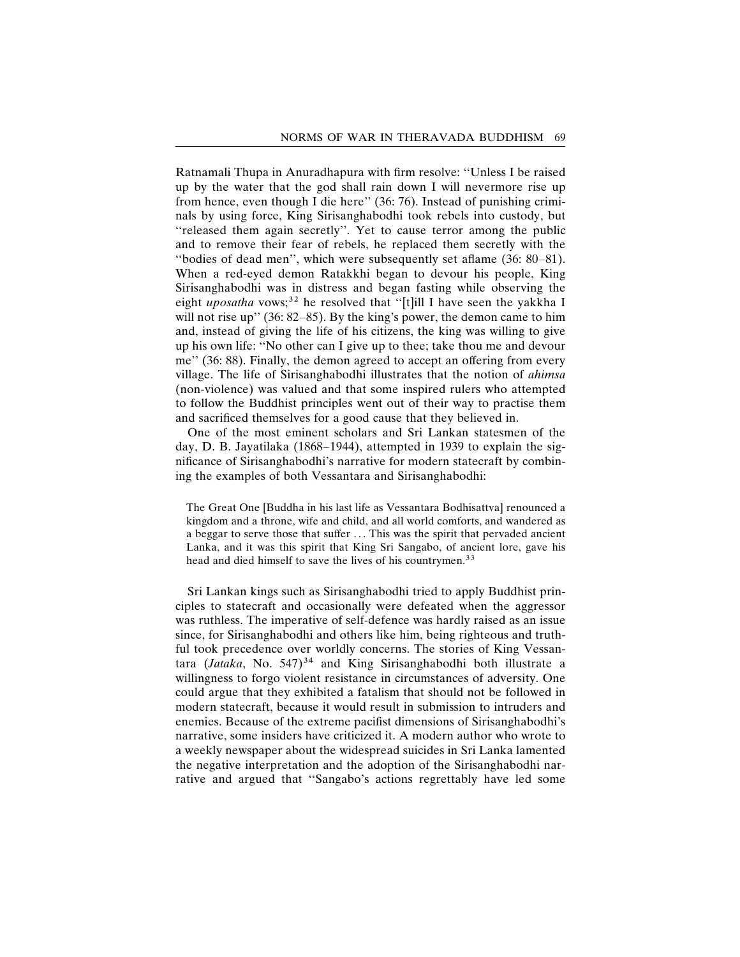Ratnamali Thupa in Anuradhapura with firm resolve: ''Unless I be raised up by the water that the god shall rain down I will nevermore rise up from hence, even though I die here'' (36: 76). Instead of punishing criminals by using force, King Sirisanghabodhi took rebels into custody, but "released them again secretly". Yet to cause terror among the public and to remove their fear of rebels, he replaced them secretly with the ''bodies of dead men'', which were subsequently set aflame (36: 80–81). When a red-eyed demon Ratakkhi began to devour his people, King Sirisanghabodhi was in distress and began fasting while observing the eight *uposatha* vows;<sup>32</sup> he resolved that "[t]ill I have seen the yakkha I will not rise up" (36: 82–85). By the king's power, the demon came to him and, instead of giving the life of his citizens, the king was willing to give up his own life: ''No other can I give up to thee; take thou me and devour me'' (36: 88). Finally, the demon agreed to accept an offering from every village. The life of Sirisanghabodhi illustrates that the notion of ahimsa (non-violence) was valued and that some inspired rulers who attempted to follow the Buddhist principles went out of their way to practise them and sacrificed themselves for a good cause that they believed in.

One of the most eminent scholars and Sri Lankan statesmen of the day, D. B. Jayatilaka (1868–1944), attempted in 1939 to explain the significance of Sirisanghabodhi's narrative for modern statecraft by combining the examples of both Vessantara and Sirisanghabodhi:

The Great One [Buddha in his last life as Vessantara Bodhisattva] renounced a kingdom and a throne, wife and child, and all world comforts, and wandered as a beggar to serve those that suffer . . . This was the spirit that pervaded ancient Lanka, and it was this spirit that King Sri Sangabo, of ancient lore, gave his head and died himself to save the lives of his countrymen.<sup>33</sup>

Sri Lankan kings such as Sirisanghabodhi tried to apply Buddhist principles to statecraft and occasionally were defeated when the aggressor was ruthless. The imperative of self-defence was hardly raised as an issue since, for Sirisanghabodhi and others like him, being righteous and truthful took precedence over worldly concerns. The stories of King Vessantara (Jataka, No. 547)<sup>34</sup> and King Sirisanghabodhi both illustrate a willingness to forgo violent resistance in circumstances of adversity. One could argue that they exhibited a fatalism that should not be followed in modern statecraft, because it would result in submission to intruders and enemies. Because of the extreme pacifist dimensions of Sirisanghabodhi's narrative, some insiders have criticized it. A modern author who wrote to a weekly newspaper about the widespread suicides in Sri Lanka lamented the negative interpretation and the adoption of the Sirisanghabodhi narrative and argued that ''Sangabo's actions regrettably have led some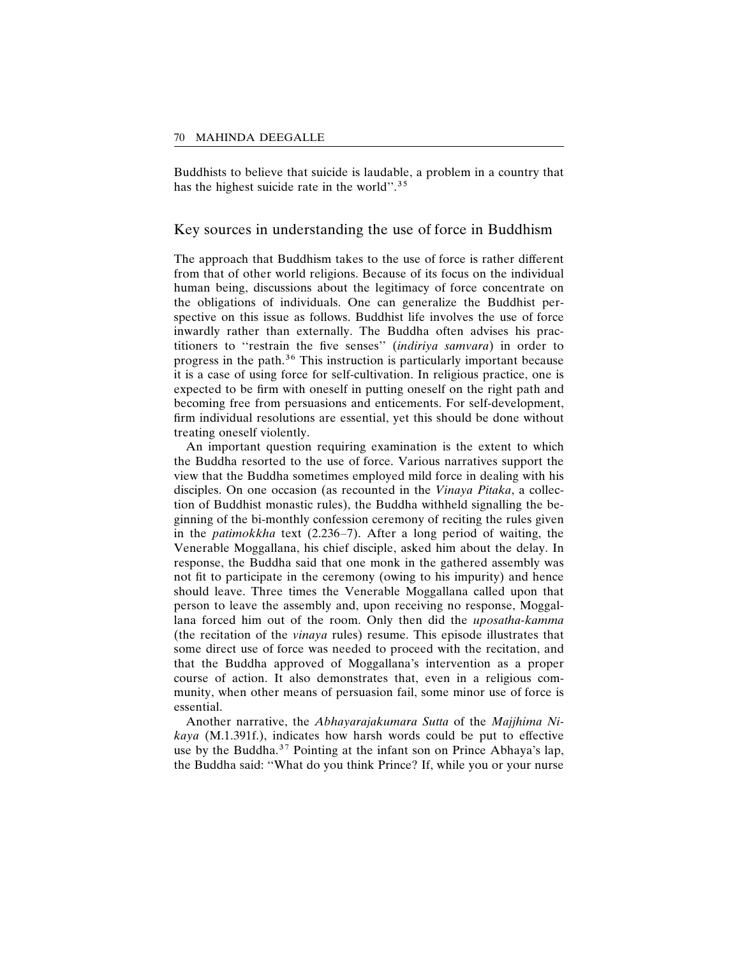Buddhists to believe that suicide is laudable, a problem in a country that has the highest suicide rate in the world".<sup>35</sup>

#### Key sources in understanding the use of force in Buddhism

The approach that Buddhism takes to the use of force is rather different from that of other world religions. Because of its focus on the individual human being, discussions about the legitimacy of force concentrate on the obligations of individuals. One can generalize the Buddhist perspective on this issue as follows. Buddhist life involves the use of force inwardly rather than externally. The Buddha often advises his practitioners to ''restrain the five senses'' (indiriya samvara) in order to progress in the path.36 This instruction is particularly important because it is a case of using force for self-cultivation. In religious practice, one is expected to be firm with oneself in putting oneself on the right path and becoming free from persuasions and enticements. For self-development, firm individual resolutions are essential, yet this should be done without treating oneself violently.

An important question requiring examination is the extent to which the Buddha resorted to the use of force. Various narratives support the view that the Buddha sometimes employed mild force in dealing with his disciples. On one occasion (as recounted in the Vinaya Pitaka, a collection of Buddhist monastic rules), the Buddha withheld signalling the beginning of the bi-monthly confession ceremony of reciting the rules given in the patimokkha text (2.236–7). After a long period of waiting, the Venerable Moggallana, his chief disciple, asked him about the delay. In response, the Buddha said that one monk in the gathered assembly was not fit to participate in the ceremony (owing to his impurity) and hence should leave. Three times the Venerable Moggallana called upon that person to leave the assembly and, upon receiving no response, Moggallana forced him out of the room. Only then did the uposatha-kamma (the recitation of the vinaya rules) resume. This episode illustrates that some direct use of force was needed to proceed with the recitation, and that the Buddha approved of Moggallana's intervention as a proper course of action. It also demonstrates that, even in a religious community, when other means of persuasion fail, some minor use of force is essential.

Another narrative, the Abhayarajakumara Sutta of the Majjhima Nikaya (M.1.391f.), indicates how harsh words could be put to effective use by the Buddha.37 Pointing at the infant son on Prince Abhaya's lap, the Buddha said: ''What do you think Prince? If, while you or your nurse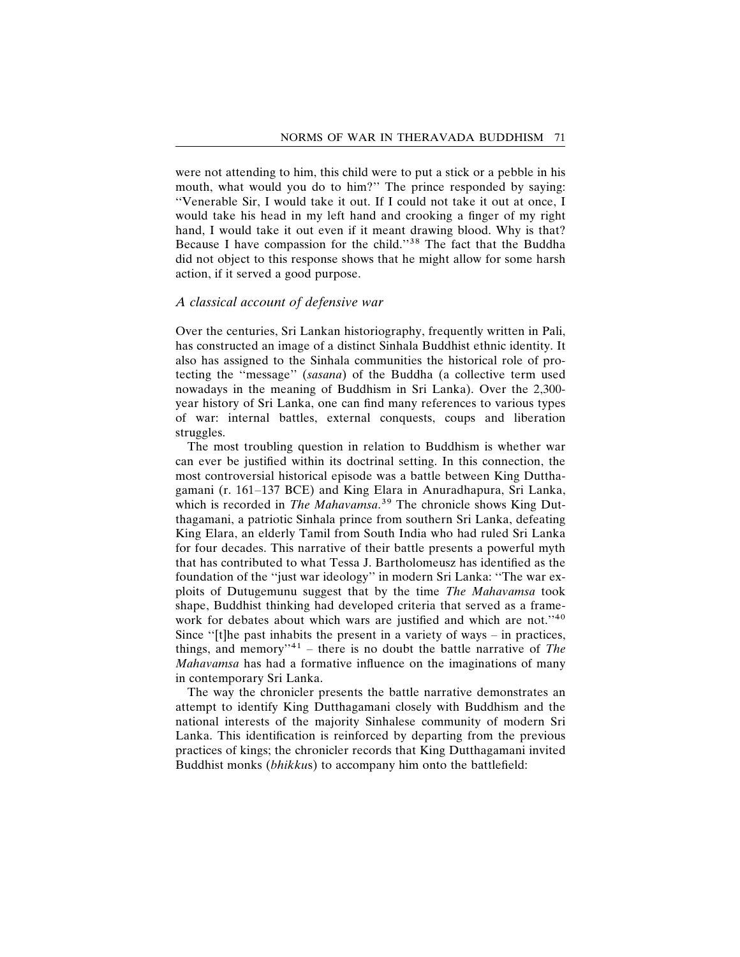were not attending to him, this child were to put a stick or a pebble in his mouth, what would you do to him?'' The prince responded by saying: ''Venerable Sir, I would take it out. If I could not take it out at once, I would take his head in my left hand and crooking a finger of my right hand, I would take it out even if it meant drawing blood. Why is that? Because I have compassion for the child.''38 The fact that the Buddha did not object to this response shows that he might allow for some harsh action, if it served a good purpose.

#### A classical account of defensive war

Over the centuries, Sri Lankan historiography, frequently written in Pali, has constructed an image of a distinct Sinhala Buddhist ethnic identity. It also has assigned to the Sinhala communities the historical role of protecting the ''message'' (sasana) of the Buddha (a collective term used nowadays in the meaning of Buddhism in Sri Lanka). Over the 2,300 year history of Sri Lanka, one can find many references to various types of war: internal battles, external conquests, coups and liberation struggles.

The most troubling question in relation to Buddhism is whether war can ever be justified within its doctrinal setting. In this connection, the most controversial historical episode was a battle between King Dutthagamani (r. 161–137 BCE) and King Elara in Anuradhapura, Sri Lanka, which is recorded in *The Mahavamsa*.<sup>39</sup> The chronicle shows King Dutthagamani, a patriotic Sinhala prince from southern Sri Lanka, defeating King Elara, an elderly Tamil from South India who had ruled Sri Lanka for four decades. This narrative of their battle presents a powerful myth that has contributed to what Tessa J. Bartholomeusz has identified as the foundation of the ''just war ideology'' in modern Sri Lanka: ''The war exploits of Dutugemunu suggest that by the time The Mahavamsa took shape, Buddhist thinking had developed criteria that served as a framework for debates about which wars are justified and which are not."<sup>40</sup> Since " $[t]$ he past inhabits the present in a variety of ways – in practices, things, and memory<sup> $1$ </sup> – there is no doubt the battle narrative of The Mahavamsa has had a formative influence on the imaginations of many in contemporary Sri Lanka.

The way the chronicler presents the battle narrative demonstrates an attempt to identify King Dutthagamani closely with Buddhism and the national interests of the majority Sinhalese community of modern Sri Lanka. This identification is reinforced by departing from the previous practices of kings; the chronicler records that King Dutthagamani invited Buddhist monks (bhikkus) to accompany him onto the battlefield: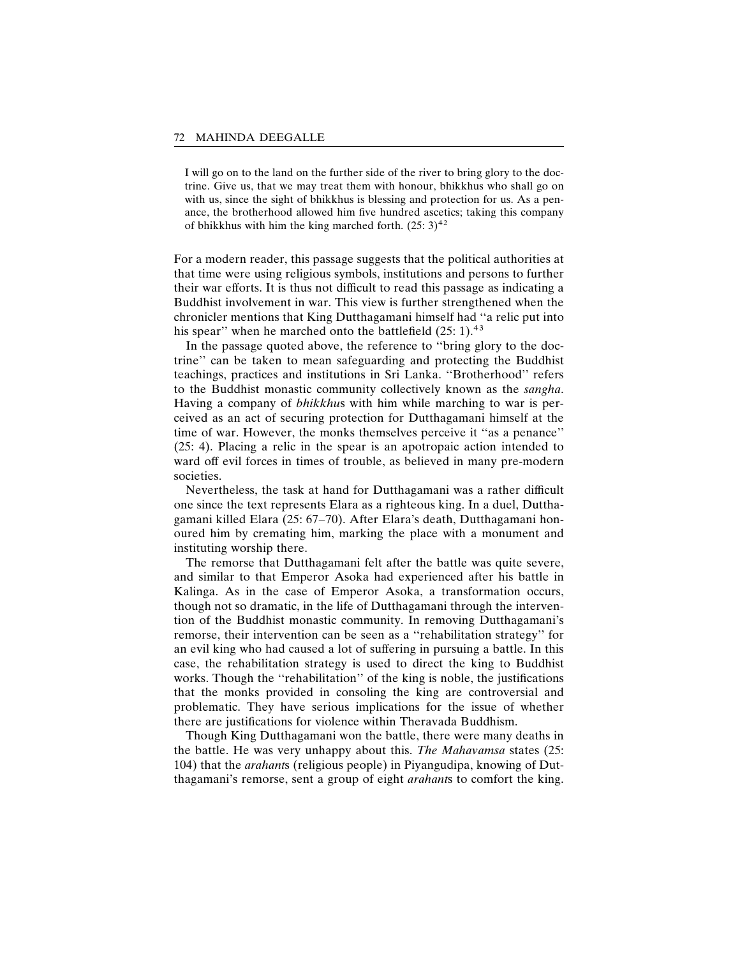I will go on to the land on the further side of the river to bring glory to the doctrine. Give us, that we may treat them with honour, bhikkhus who shall go on with us, since the sight of bhikkhus is blessing and protection for us. As a penance, the brotherhood allowed him five hundred ascetics; taking this company of bhikkhus with him the king marched forth.  $(25:3)^{42}$ 

For a modern reader, this passage suggests that the political authorities at that time were using religious symbols, institutions and persons to further their war efforts. It is thus not difficult to read this passage as indicating a Buddhist involvement in war. This view is further strengthened when the chronicler mentions that King Dutthagamani himself had ''a relic put into his spear" when he marched onto the battlefield  $(25: 1).<sup>43</sup>$ 

In the passage quoted above, the reference to ''bring glory to the doctrine'' can be taken to mean safeguarding and protecting the Buddhist teachings, practices and institutions in Sri Lanka. ''Brotherhood'' refers to the Buddhist monastic community collectively known as the sangha. Having a company of bhikkhus with him while marching to war is perceived as an act of securing protection for Dutthagamani himself at the time of war. However, the monks themselves perceive it ''as a penance'' (25: 4). Placing a relic in the spear is an apotropaic action intended to ward off evil forces in times of trouble, as believed in many pre-modern societies.

Nevertheless, the task at hand for Dutthagamani was a rather difficult one since the text represents Elara as a righteous king. In a duel, Dutthagamani killed Elara (25: 67–70). After Elara's death, Dutthagamani honoured him by cremating him, marking the place with a monument and instituting worship there.

The remorse that Dutthagamani felt after the battle was quite severe, and similar to that Emperor Asoka had experienced after his battle in Kalinga. As in the case of Emperor Asoka, a transformation occurs, though not so dramatic, in the life of Dutthagamani through the intervention of the Buddhist monastic community. In removing Dutthagamani's remorse, their intervention can be seen as a ''rehabilitation strategy'' for an evil king who had caused a lot of suffering in pursuing a battle. In this case, the rehabilitation strategy is used to direct the king to Buddhist works. Though the ''rehabilitation'' of the king is noble, the justifications that the monks provided in consoling the king are controversial and problematic. They have serious implications for the issue of whether there are justifications for violence within Theravada Buddhism.

Though King Dutthagamani won the battle, there were many deaths in the battle. He was very unhappy about this. The Mahavamsa states (25: 104) that the arahants (religious people) in Piyangudipa, knowing of Dutthagamani's remorse, sent a group of eight arahants to comfort the king.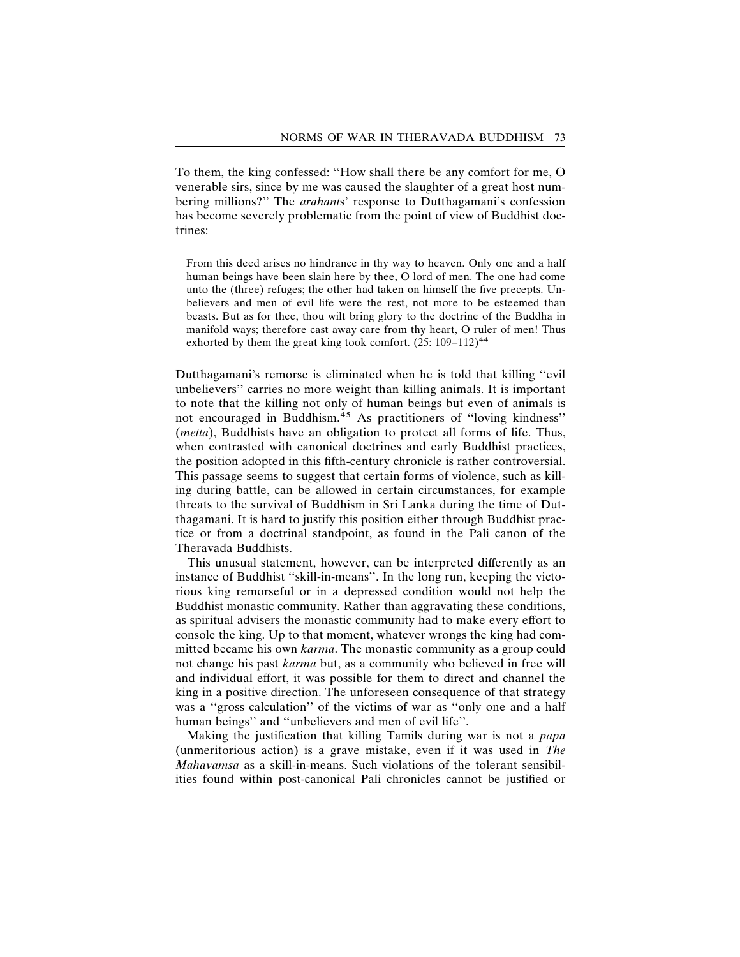To them, the king confessed: ''How shall there be any comfort for me, O venerable sirs, since by me was caused the slaughter of a great host numbering millions?'' The arahants' response to Dutthagamani's confession has become severely problematic from the point of view of Buddhist doctrines:

From this deed arises no hindrance in thy way to heaven. Only one and a half human beings have been slain here by thee, O lord of men. The one had come unto the (three) refuges; the other had taken on himself the five precepts. Unbelievers and men of evil life were the rest, not more to be esteemed than beasts. But as for thee, thou wilt bring glory to the doctrine of the Buddha in manifold ways; therefore cast away care from thy heart, O ruler of men! Thus exhorted by them the great king took comfort.  $(25: 109-112)^{44}$ 

Dutthagamani's remorse is eliminated when he is told that killing ''evil unbelievers'' carries no more weight than killing animals. It is important to note that the killing not only of human beings but even of animals is not encouraged in Buddhism.<sup>45</sup> As practitioners of "loving kindness" (metta), Buddhists have an obligation to protect all forms of life. Thus, when contrasted with canonical doctrines and early Buddhist practices, the position adopted in this fifth-century chronicle is rather controversial. This passage seems to suggest that certain forms of violence, such as killing during battle, can be allowed in certain circumstances, for example threats to the survival of Buddhism in Sri Lanka during the time of Dutthagamani. It is hard to justify this position either through Buddhist practice or from a doctrinal standpoint, as found in the Pali canon of the Theravada Buddhists.

This unusual statement, however, can be interpreted differently as an instance of Buddhist ''skill-in-means''. In the long run, keeping the victorious king remorseful or in a depressed condition would not help the Buddhist monastic community. Rather than aggravating these conditions, as spiritual advisers the monastic community had to make every effort to console the king. Up to that moment, whatever wrongs the king had committed became his own *karma*. The monastic community as a group could not change his past karma but, as a community who believed in free will and individual effort, it was possible for them to direct and channel the king in a positive direction. The unforeseen consequence of that strategy was a "gross calculation" of the victims of war as "only one and a half human beings'' and ''unbelievers and men of evil life''.

Making the justification that killing Tamils during war is not a *papa* (unmeritorious action) is a grave mistake, even if it was used in The Mahavamsa as a skill-in-means. Such violations of the tolerant sensibilities found within post-canonical Pali chronicles cannot be justified or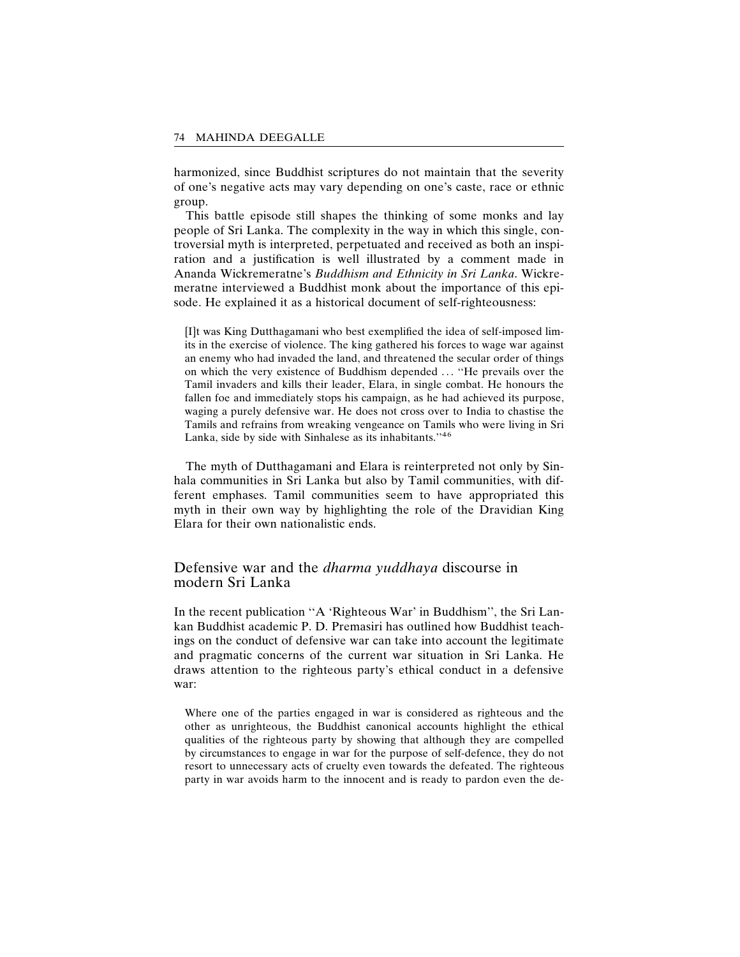harmonized, since Buddhist scriptures do not maintain that the severity of one's negative acts may vary depending on one's caste, race or ethnic group.

This battle episode still shapes the thinking of some monks and lay people of Sri Lanka. The complexity in the way in which this single, controversial myth is interpreted, perpetuated and received as both an inspiration and a justification is well illustrated by a comment made in Ananda Wickremeratne's Buddhism and Ethnicity in Sri Lanka. Wickremeratne interviewed a Buddhist monk about the importance of this episode. He explained it as a historical document of self-righteousness:

[I]t was King Dutthagamani who best exemplified the idea of self-imposed limits in the exercise of violence. The king gathered his forces to wage war against an enemy who had invaded the land, and threatened the secular order of things on which the very existence of Buddhism depended . . . ''He prevails over the Tamil invaders and kills their leader, Elara, in single combat. He honours the fallen foe and immediately stops his campaign, as he had achieved its purpose, waging a purely defensive war. He does not cross over to India to chastise the Tamils and refrains from wreaking vengeance on Tamils who were living in Sri Lanka, side by side with Sinhalese as its inhabitants."<sup>46</sup>

The myth of Dutthagamani and Elara is reinterpreted not only by Sinhala communities in Sri Lanka but also by Tamil communities, with different emphases. Tamil communities seem to have appropriated this myth in their own way by highlighting the role of the Dravidian King Elara for their own nationalistic ends.

## Defensive war and the dharma yuddhaya discourse in modern Sri Lanka

In the recent publication ''A 'Righteous War' in Buddhism'', the Sri Lankan Buddhist academic P. D. Premasiri has outlined how Buddhist teachings on the conduct of defensive war can take into account the legitimate and pragmatic concerns of the current war situation in Sri Lanka. He draws attention to the righteous party's ethical conduct in a defensive war:

Where one of the parties engaged in war is considered as righteous and the other as unrighteous, the Buddhist canonical accounts highlight the ethical qualities of the righteous party by showing that although they are compelled by circumstances to engage in war for the purpose of self-defence, they do not resort to unnecessary acts of cruelty even towards the defeated. The righteous party in war avoids harm to the innocent and is ready to pardon even the de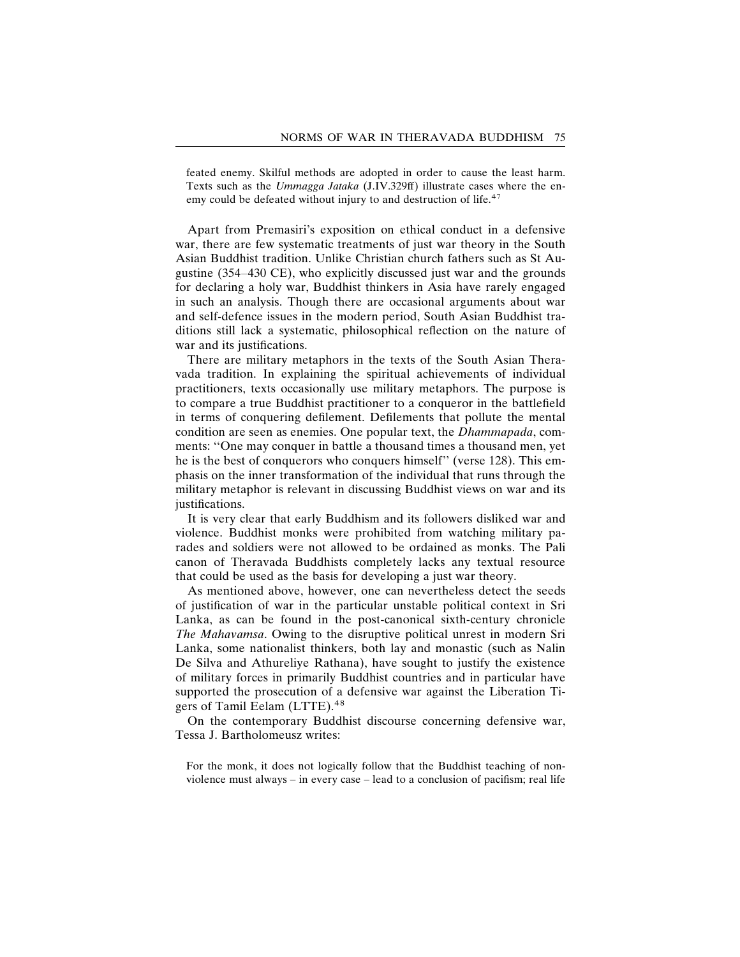feated enemy. Skilful methods are adopted in order to cause the least harm. Texts such as the Ummagga Jataka (J.IV.329ff) illustrate cases where the enemy could be defeated without injury to and destruction of life.<sup>47</sup>

Apart from Premasiri's exposition on ethical conduct in a defensive war, there are few systematic treatments of just war theory in the South Asian Buddhist tradition. Unlike Christian church fathers such as St Augustine (354–430 CE), who explicitly discussed just war and the grounds for declaring a holy war, Buddhist thinkers in Asia have rarely engaged in such an analysis. Though there are occasional arguments about war and self-defence issues in the modern period, South Asian Buddhist traditions still lack a systematic, philosophical reflection on the nature of war and its justifications.

There are military metaphors in the texts of the South Asian Theravada tradition. In explaining the spiritual achievements of individual practitioners, texts occasionally use military metaphors. The purpose is to compare a true Buddhist practitioner to a conqueror in the battlefield in terms of conquering defilement. Defilements that pollute the mental condition are seen as enemies. One popular text, the Dhammapada, comments: ''One may conquer in battle a thousand times a thousand men, yet he is the best of conquerors who conquers himself'' (verse 128). This emphasis on the inner transformation of the individual that runs through the military metaphor is relevant in discussing Buddhist views on war and its justifications.

It is very clear that early Buddhism and its followers disliked war and violence. Buddhist monks were prohibited from watching military parades and soldiers were not allowed to be ordained as monks. The Pali canon of Theravada Buddhists completely lacks any textual resource that could be used as the basis for developing a just war theory.

As mentioned above, however, one can nevertheless detect the seeds of justification of war in the particular unstable political context in Sri Lanka, as can be found in the post-canonical sixth-century chronicle The Mahavamsa. Owing to the disruptive political unrest in modern Sri Lanka, some nationalist thinkers, both lay and monastic (such as Nalin De Silva and Athureliye Rathana), have sought to justify the existence of military forces in primarily Buddhist countries and in particular have supported the prosecution of a defensive war against the Liberation Tigers of Tamil Eelam (LTTE).48

On the contemporary Buddhist discourse concerning defensive war, Tessa J. Bartholomeusz writes:

For the monk, it does not logically follow that the Buddhist teaching of nonviolence must always – in every case – lead to a conclusion of pacifism; real life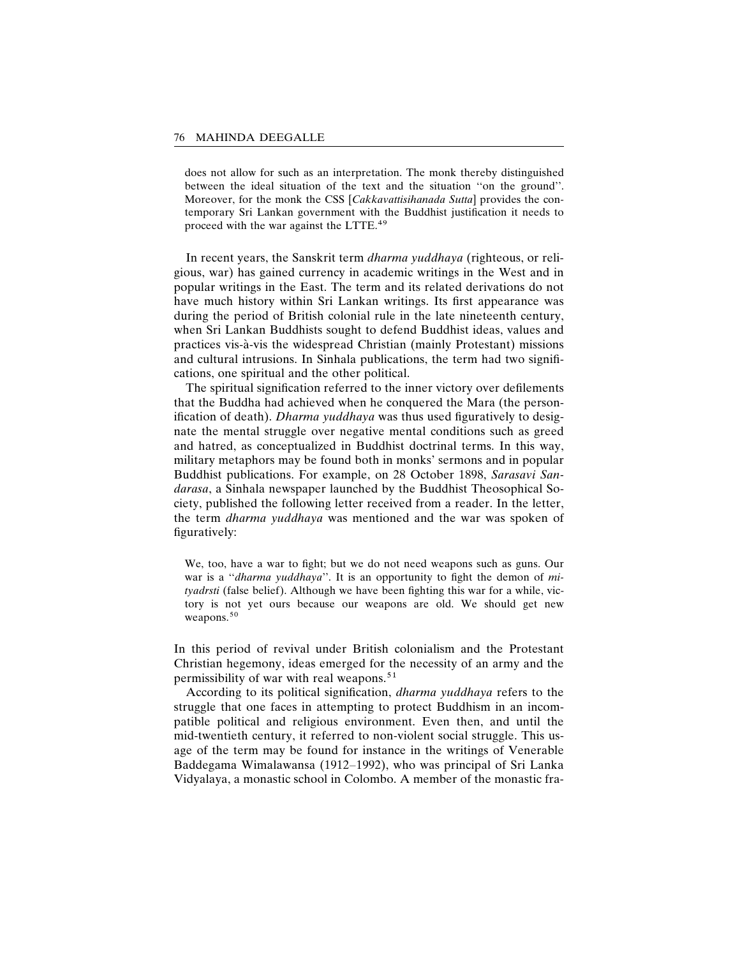does not allow for such as an interpretation. The monk thereby distinguished between the ideal situation of the text and the situation ''on the ground''. Moreover, for the monk the CSS [Cakkavattisihanada Sutta] provides the contemporary Sri Lankan government with the Buddhist justification it needs to proceed with the war against the LTTE.<sup>49</sup>

In recent years, the Sanskrit term dharma yuddhaya (righteous, or religious, war) has gained currency in academic writings in the West and in popular writings in the East. The term and its related derivations do not have much history within Sri Lankan writings. Its first appearance was during the period of British colonial rule in the late nineteenth century, when Sri Lankan Buddhists sought to defend Buddhist ideas, values and practices vis-a`-vis the widespread Christian (mainly Protestant) missions and cultural intrusions. In Sinhala publications, the term had two significations, one spiritual and the other political.

The spiritual signification referred to the inner victory over defilements that the Buddha had achieved when he conquered the Mara (the personification of death). Dharma yuddhaya was thus used figuratively to designate the mental struggle over negative mental conditions such as greed and hatred, as conceptualized in Buddhist doctrinal terms. In this way, military metaphors may be found both in monks' sermons and in popular Buddhist publications. For example, on 28 October 1898, Sarasavi Sandarasa, a Sinhala newspaper launched by the Buddhist Theosophical Society, published the following letter received from a reader. In the letter, the term dharma yuddhaya was mentioned and the war was spoken of figuratively:

We, too, have a war to fight; but we do not need weapons such as guns. Our war is a "*dharma yuddhaya*". It is an opportunity to fight the demon of *mi*tyadrsti (false belief). Although we have been fighting this war for a while, victory is not yet ours because our weapons are old. We should get new weapons.<sup>50</sup>

In this period of revival under British colonialism and the Protestant Christian hegemony, ideas emerged for the necessity of an army and the permissibility of war with real weapons.<sup>51</sup>

According to its political signification, dharma yuddhaya refers to the struggle that one faces in attempting to protect Buddhism in an incompatible political and religious environment. Even then, and until the mid-twentieth century, it referred to non-violent social struggle. This usage of the term may be found for instance in the writings of Venerable Baddegama Wimalawansa (1912–1992), who was principal of Sri Lanka Vidyalaya, a monastic school in Colombo. A member of the monastic fra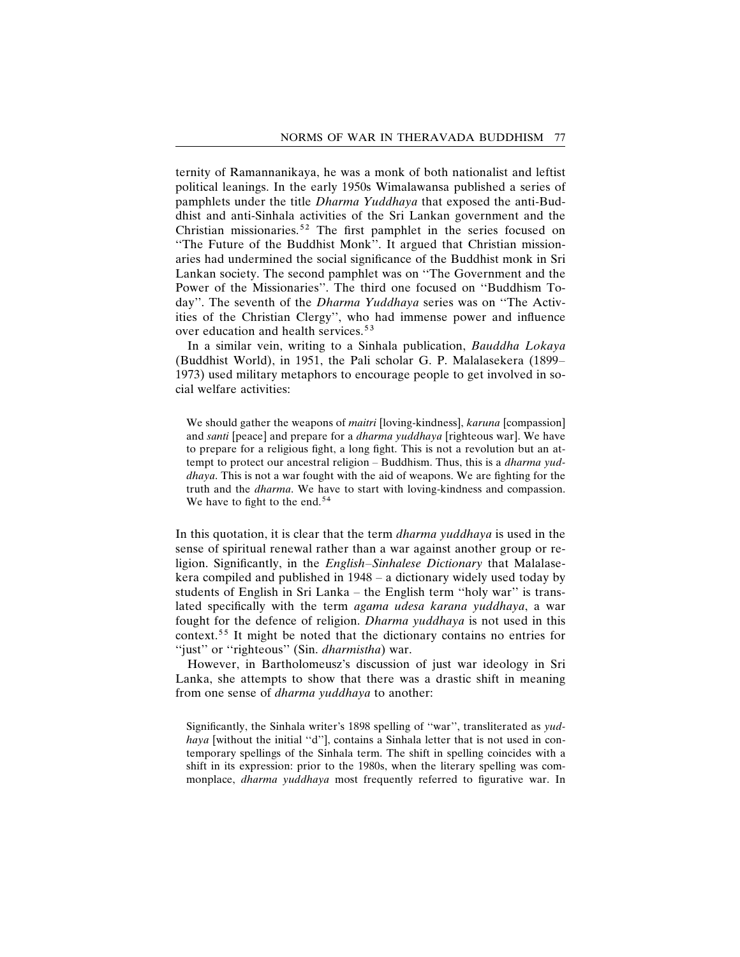ternity of Ramannanikaya, he was a monk of both nationalist and leftist political leanings. In the early 1950s Wimalawansa published a series of pamphlets under the title Dharma Yuddhaya that exposed the anti-Buddhist and anti-Sinhala activities of the Sri Lankan government and the Christian missionaries.52 The first pamphlet in the series focused on ''The Future of the Buddhist Monk''. It argued that Christian missionaries had undermined the social significance of the Buddhist monk in Sri Lankan society. The second pamphlet was on ''The Government and the Power of the Missionaries''. The third one focused on ''Buddhism Today''. The seventh of the Dharma Yuddhaya series was on ''The Activities of the Christian Clergy'', who had immense power and influence over education and health services.<sup>53</sup>

In a similar vein, writing to a Sinhala publication, Bauddha Lokaya (Buddhist World), in 1951, the Pali scholar G. P. Malalasekera (1899– 1973) used military metaphors to encourage people to get involved in social welfare activities:

We should gather the weapons of *maitri* [loving-kindness], *karuna* [compassion] and santi [peace] and prepare for a dharma yuddhaya [righteous war]. We have to prepare for a religious fight, a long fight. This is not a revolution but an attempt to protect our ancestral religion – Buddhism. Thus, this is a dharma yuddhaya. This is not a war fought with the aid of weapons. We are fighting for the truth and the dharma. We have to start with loving-kindness and compassion. We have to fight to the end.<sup>54</sup>

In this quotation, it is clear that the term *dharma yuddhaya* is used in the sense of spiritual renewal rather than a war against another group or religion. Significantly, in the *English–Sinhalese Dictionary* that Malalasekera compiled and published in 1948 – a dictionary widely used today by students of English in Sri Lanka – the English term ''holy war'' is translated specifically with the term agama udesa karana yuddhaya, a war fought for the defence of religion. Dharma yuddhaya is not used in this context.55 It might be noted that the dictionary contains no entries for "just" or "righteous" (Sin. dharmistha) war.

However, in Bartholomeusz's discussion of just war ideology in Sri Lanka, she attempts to show that there was a drastic shift in meaning from one sense of dharma yuddhaya to another:

Significantly, the Sinhala writer's 1898 spelling of ''war'', transliterated as yudhaya [without the initial "d"], contains a Sinhala letter that is not used in contemporary spellings of the Sinhala term. The shift in spelling coincides with a shift in its expression: prior to the 1980s, when the literary spelling was commonplace, dharma yuddhaya most frequently referred to figurative war. In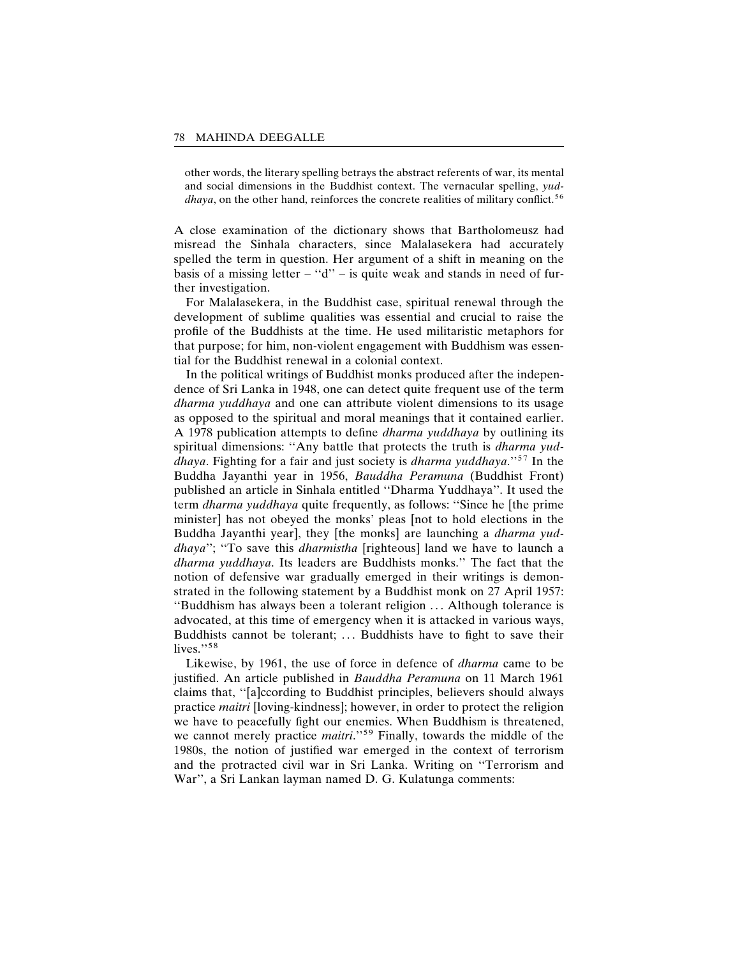other words, the literary spelling betrays the abstract referents of war, its mental and social dimensions in the Buddhist context. The vernacular spelling, yud $dhaya$ , on the other hand, reinforces the concrete realities of military conflict.<sup>56</sup>

A close examination of the dictionary shows that Bartholomeusz had misread the Sinhala characters, since Malalasekera had accurately spelled the term in question. Her argument of a shift in meaning on the basis of a missing letter – "d" – is quite weak and stands in need of further investigation.

For Malalasekera, in the Buddhist case, spiritual renewal through the development of sublime qualities was essential and crucial to raise the profile of the Buddhists at the time. He used militaristic metaphors for that purpose; for him, non-violent engagement with Buddhism was essential for the Buddhist renewal in a colonial context.

In the political writings of Buddhist monks produced after the independence of Sri Lanka in 1948, one can detect quite frequent use of the term dharma yuddhaya and one can attribute violent dimensions to its usage as opposed to the spiritual and moral meanings that it contained earlier. A 1978 publication attempts to define dharma yuddhaya by outlining its spiritual dimensions: "Any battle that protects the truth is *dharma yuddhaya*. Fighting for a fair and just society is *dharma yuddhaya*."<sup>57</sup> In the Buddha Jayanthi year in 1956, Bauddha Peramuna (Buddhist Front) published an article in Sinhala entitled ''Dharma Yuddhaya''. It used the term dharma yuddhaya quite frequently, as follows: ''Since he [the prime minister] has not obeyed the monks' pleas [not to hold elections in the Buddha Jayanthi year], they [the monks] are launching a dharma yuddhaya''; ''To save this dharmistha [righteous] land we have to launch a dharma yuddhaya. Its leaders are Buddhists monks.'' The fact that the notion of defensive war gradually emerged in their writings is demonstrated in the following statement by a Buddhist monk on 27 April 1957: ''Buddhism has always been a tolerant religion . . . Although tolerance is advocated, at this time of emergency when it is attacked in various ways, Buddhists cannot be tolerant; . . . Buddhists have to fight to save their lives."<sup>58</sup>

Likewise, by 1961, the use of force in defence of dharma came to be justified. An article published in Bauddha Peramuna on 11 March 1961 claims that, ''[a]ccording to Buddhist principles, believers should always practice maitri [loving-kindness]; however, in order to protect the religion we have to peacefully fight our enemies. When Buddhism is threatened, we cannot merely practice *maitri*."<sup>59</sup> Finally, towards the middle of the 1980s, the notion of justified war emerged in the context of terrorism and the protracted civil war in Sri Lanka. Writing on ''Terrorism and War'', a Sri Lankan layman named D. G. Kulatunga comments: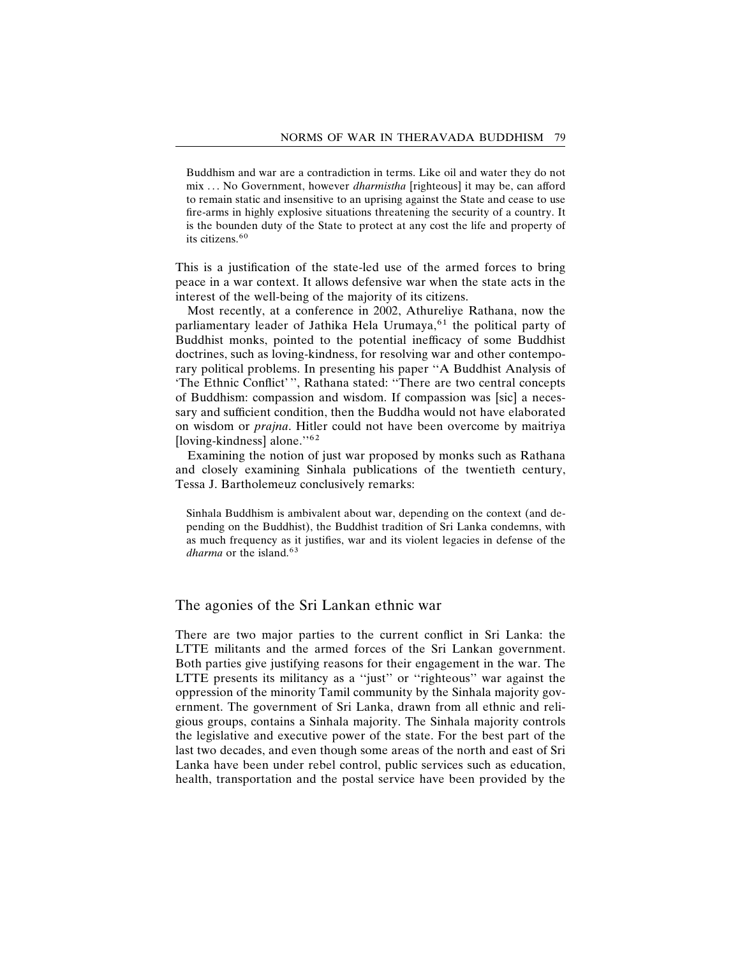Buddhism and war are a contradiction in terms. Like oil and water they do not mix ... No Government, however *dharmistha* [righteous] it may be, can afford to remain static and insensitive to an uprising against the State and cease to use fire-arms in highly explosive situations threatening the security of a country. It is the bounden duty of the State to protect at any cost the life and property of its citizens.60

This is a justification of the state-led use of the armed forces to bring peace in a war context. It allows defensive war when the state acts in the interest of the well-being of the majority of its citizens.

Most recently, at a conference in 2002, Athureliye Rathana, now the parliamentary leader of Jathika Hela Urumaya,<sup>61</sup> the political party of Buddhist monks, pointed to the potential inefficacy of some Buddhist doctrines, such as loving-kindness, for resolving war and other contemporary political problems. In presenting his paper ''A Buddhist Analysis of 'The Ethnic Conflict' '', Rathana stated: ''There are two central concepts of Buddhism: compassion and wisdom. If compassion was [sic] a necessary and sufficient condition, then the Buddha would not have elaborated on wisdom or prajna. Hitler could not have been overcome by maitriya [loving-kindness] alone.''62

Examining the notion of just war proposed by monks such as Rathana and closely examining Sinhala publications of the twentieth century, Tessa J. Bartholemeuz conclusively remarks:

Sinhala Buddhism is ambivalent about war, depending on the context (and depending on the Buddhist), the Buddhist tradition of Sri Lanka condemns, with as much frequency as it justifies, war and its violent legacies in defense of the *dharma* or the island.<sup>63</sup>

### The agonies of the Sri Lankan ethnic war

There are two major parties to the current conflict in Sri Lanka: the LTTE militants and the armed forces of the Sri Lankan government. Both parties give justifying reasons for their engagement in the war. The LTTE presents its militancy as a ''just'' or ''righteous'' war against the oppression of the minority Tamil community by the Sinhala majority government. The government of Sri Lanka, drawn from all ethnic and religious groups, contains a Sinhala majority. The Sinhala majority controls the legislative and executive power of the state. For the best part of the last two decades, and even though some areas of the north and east of Sri Lanka have been under rebel control, public services such as education, health, transportation and the postal service have been provided by the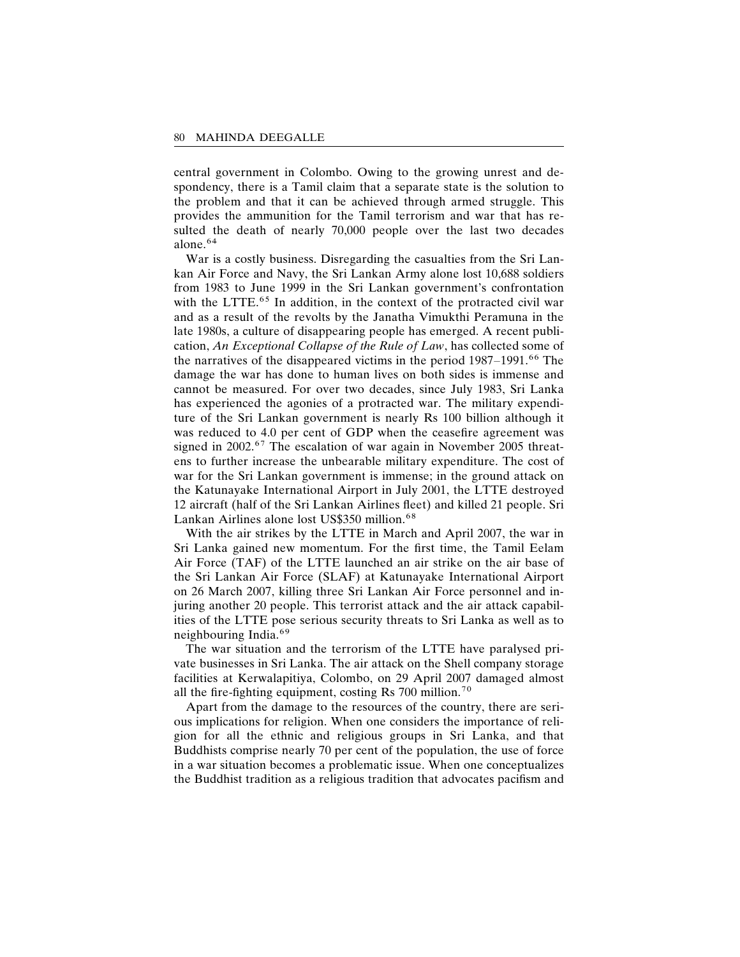central government in Colombo. Owing to the growing unrest and despondency, there is a Tamil claim that a separate state is the solution to the problem and that it can be achieved through armed struggle. This provides the ammunition for the Tamil terrorism and war that has resulted the death of nearly 70,000 people over the last two decades alone.64

War is a costly business. Disregarding the casualties from the Sri Lankan Air Force and Navy, the Sri Lankan Army alone lost 10,688 soldiers from 1983 to June 1999 in the Sri Lankan government's confrontation with the LTTE.<sup>65</sup> In addition, in the context of the protracted civil war and as a result of the revolts by the Janatha Vimukthi Peramuna in the late 1980s, a culture of disappearing people has emerged. A recent publication, An Exceptional Collapse of the Rule of Law, has collected some of the narratives of the disappeared victims in the period  $1987-1991$ .<sup>66</sup> The damage the war has done to human lives on both sides is immense and cannot be measured. For over two decades, since July 1983, Sri Lanka has experienced the agonies of a protracted war. The military expenditure of the Sri Lankan government is nearly Rs 100 billion although it was reduced to 4.0 per cent of GDP when the ceasefire agreement was signed in 2002.<sup>67</sup> The escalation of war again in November 2005 threatens to further increase the unbearable military expenditure. The cost of war for the Sri Lankan government is immense; in the ground attack on the Katunayake International Airport in July 2001, the LTTE destroyed 12 aircraft (half of the Sri Lankan Airlines fleet) and killed 21 people. Sri Lankan Airlines alone lost US\$350 million.<sup>68</sup>

With the air strikes by the LTTE in March and April 2007, the war in Sri Lanka gained new momentum. For the first time, the Tamil Eelam Air Force (TAF) of the LTTE launched an air strike on the air base of the Sri Lankan Air Force (SLAF) at Katunayake International Airport on 26 March 2007, killing three Sri Lankan Air Force personnel and injuring another 20 people. This terrorist attack and the air attack capabilities of the LTTE pose serious security threats to Sri Lanka as well as to neighbouring India.69

The war situation and the terrorism of the LTTE have paralysed private businesses in Sri Lanka. The air attack on the Shell company storage facilities at Kerwalapitiya, Colombo, on 29 April 2007 damaged almost all the fire-fighting equipment, costing Rs  $700$  million.<sup>70</sup>

Apart from the damage to the resources of the country, there are serious implications for religion. When one considers the importance of religion for all the ethnic and religious groups in Sri Lanka, and that Buddhists comprise nearly 70 per cent of the population, the use of force in a war situation becomes a problematic issue. When one conceptualizes the Buddhist tradition as a religious tradition that advocates pacifism and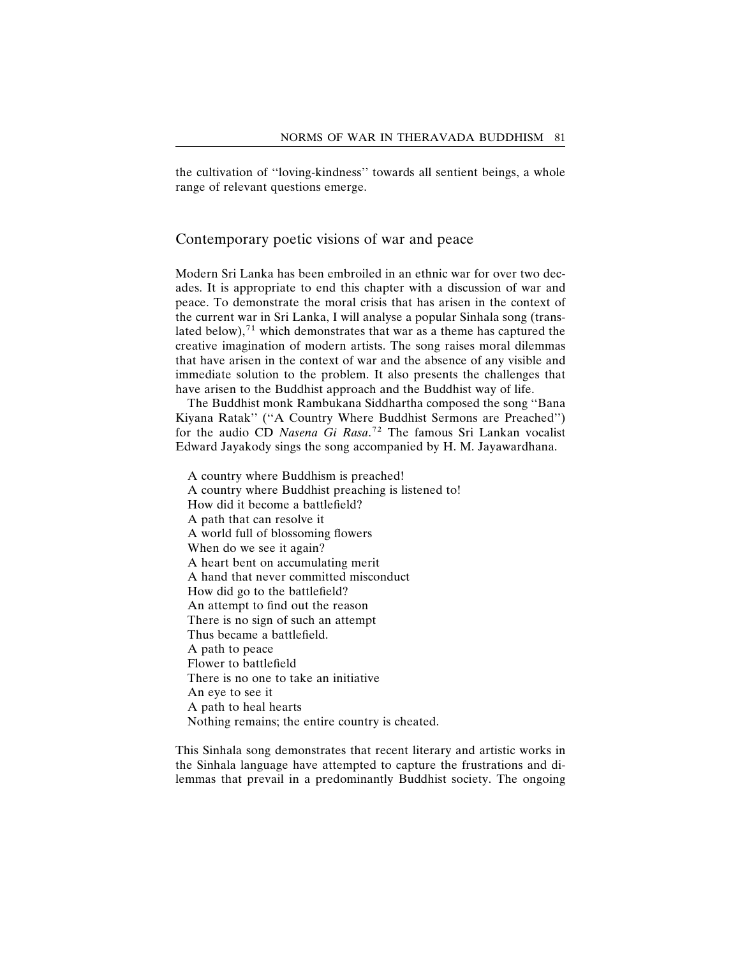the cultivation of ''loving-kindness'' towards all sentient beings, a whole range of relevant questions emerge.

## Contemporary poetic visions of war and peace

Modern Sri Lanka has been embroiled in an ethnic war for over two decades. It is appropriate to end this chapter with a discussion of war and peace. To demonstrate the moral crisis that has arisen in the context of the current war in Sri Lanka, I will analyse a popular Sinhala song (translated below),  $\frac{71}{1}$  which demonstrates that war as a theme has captured the creative imagination of modern artists. The song raises moral dilemmas that have arisen in the context of war and the absence of any visible and immediate solution to the problem. It also presents the challenges that have arisen to the Buddhist approach and the Buddhist way of life.

The Buddhist monk Rambukana Siddhartha composed the song ''Bana Kiyana Ratak'' (''A Country Where Buddhist Sermons are Preached'') for the audio CD Nasena Gi Rasa.<sup>72</sup> The famous Sri Lankan vocalist Edward Jayakody sings the song accompanied by H. M. Jayawardhana.

A country where Buddhism is preached! A country where Buddhist preaching is listened to! How did it become a battlefield? A path that can resolve it A world full of blossoming flowers When do we see it again? A heart bent on accumulating merit A hand that never committed misconduct How did go to the battlefield? An attempt to find out the reason There is no sign of such an attempt Thus became a battlefield. A path to peace Flower to battlefield There is no one to take an initiative An eye to see it A path to heal hearts Nothing remains; the entire country is cheated.

This Sinhala song demonstrates that recent literary and artistic works in the Sinhala language have attempted to capture the frustrations and dilemmas that prevail in a predominantly Buddhist society. The ongoing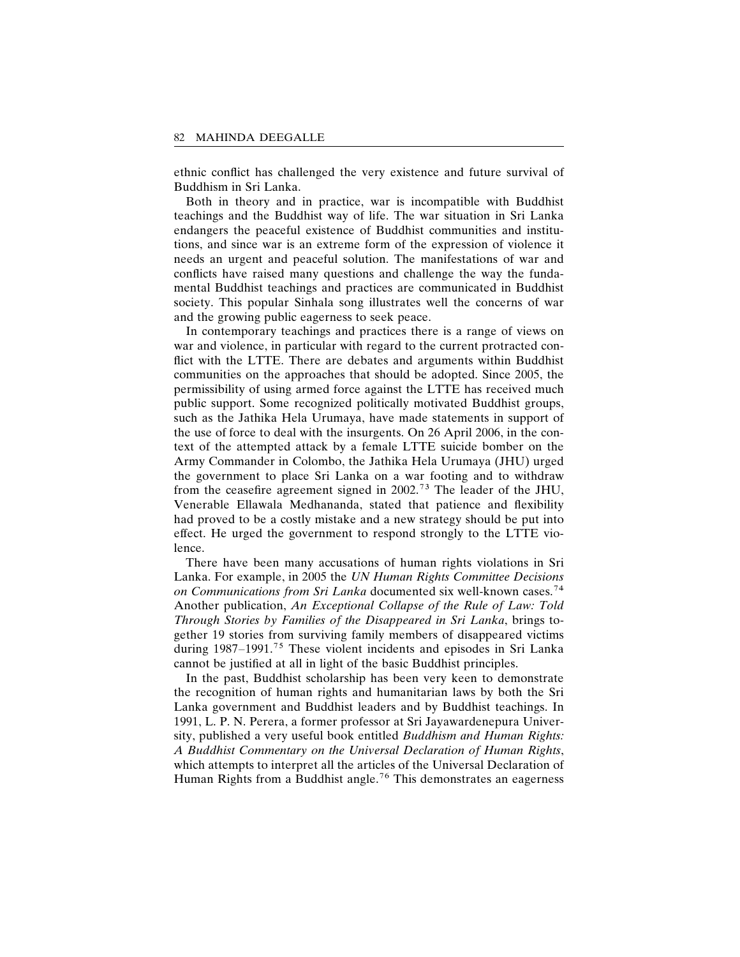ethnic conflict has challenged the very existence and future survival of Buddhism in Sri Lanka.

Both in theory and in practice, war is incompatible with Buddhist teachings and the Buddhist way of life. The war situation in Sri Lanka endangers the peaceful existence of Buddhist communities and institutions, and since war is an extreme form of the expression of violence it needs an urgent and peaceful solution. The manifestations of war and conflicts have raised many questions and challenge the way the fundamental Buddhist teachings and practices are communicated in Buddhist society. This popular Sinhala song illustrates well the concerns of war and the growing public eagerness to seek peace.

In contemporary teachings and practices there is a range of views on war and violence, in particular with regard to the current protracted conflict with the LTTE. There are debates and arguments within Buddhist communities on the approaches that should be adopted. Since 2005, the permissibility of using armed force against the LTTE has received much public support. Some recognized politically motivated Buddhist groups, such as the Jathika Hela Urumaya, have made statements in support of the use of force to deal with the insurgents. On 26 April 2006, in the context of the attempted attack by a female LTTE suicide bomber on the Army Commander in Colombo, the Jathika Hela Urumaya (JHU) urged the government to place Sri Lanka on a war footing and to withdraw from the ceasefire agreement signed in 2002.73 The leader of the JHU, Venerable Ellawala Medhananda, stated that patience and flexibility had proved to be a costly mistake and a new strategy should be put into effect. He urged the government to respond strongly to the LTTE violence.

There have been many accusations of human rights violations in Sri Lanka. For example, in 2005 the UN Human Rights Committee Decisions on Communications from Sri Lanka documented six well-known cases.<sup>74</sup> Another publication, An Exceptional Collapse of the Rule of Law: Told Through Stories by Families of the Disappeared in Sri Lanka, brings together 19 stories from surviving family members of disappeared victims during 1987–1991.<sup>75</sup> These violent incidents and episodes in Sri Lanka cannot be justified at all in light of the basic Buddhist principles.

In the past, Buddhist scholarship has been very keen to demonstrate the recognition of human rights and humanitarian laws by both the Sri Lanka government and Buddhist leaders and by Buddhist teachings. In 1991, L. P. N. Perera, a former professor at Sri Jayawardenepura University, published a very useful book entitled Buddhism and Human Rights: A Buddhist Commentary on the Universal Declaration of Human Rights, which attempts to interpret all the articles of the Universal Declaration of Human Rights from a Buddhist angle.<sup>76</sup> This demonstrates an eagerness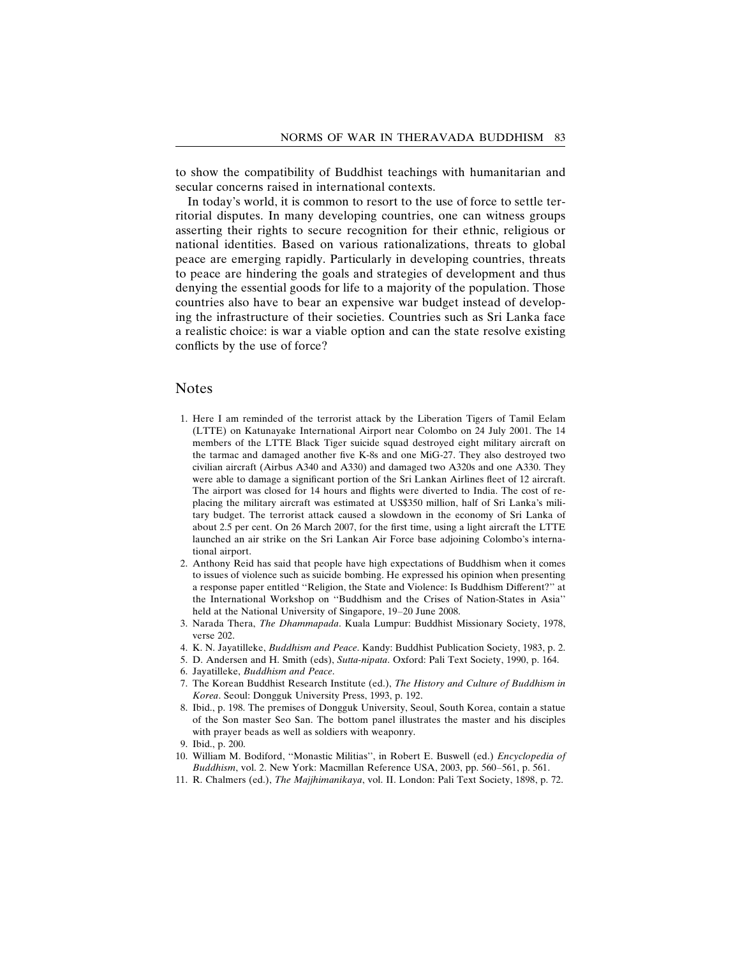to show the compatibility of Buddhist teachings with humanitarian and secular concerns raised in international contexts.

In today's world, it is common to resort to the use of force to settle territorial disputes. In many developing countries, one can witness groups asserting their rights to secure recognition for their ethnic, religious or national identities. Based on various rationalizations, threats to global peace are emerging rapidly. Particularly in developing countries, threats to peace are hindering the goals and strategies of development and thus denying the essential goods for life to a majority of the population. Those countries also have to bear an expensive war budget instead of developing the infrastructure of their societies. Countries such as Sri Lanka face a realistic choice: is war a viable option and can the state resolve existing conflicts by the use of force?

#### Notes

- 1. Here I am reminded of the terrorist attack by the Liberation Tigers of Tamil Eelam (LTTE) on Katunayake International Airport near Colombo on 24 July 2001. The 14 members of the LTTE Black Tiger suicide squad destroyed eight military aircraft on the tarmac and damaged another five K-8s and one MiG-27. They also destroyed two civilian aircraft (Airbus A340 and A330) and damaged two A320s and one A330. They were able to damage a significant portion of the Sri Lankan Airlines fleet of 12 aircraft. The airport was closed for 14 hours and flights were diverted to India. The cost of replacing the military aircraft was estimated at US\$350 million, half of Sri Lanka's military budget. The terrorist attack caused a slowdown in the economy of Sri Lanka of about 2.5 per cent. On 26 March 2007, for the first time, using a light aircraft the LTTE launched an air strike on the Sri Lankan Air Force base adjoining Colombo's international airport.
- 2. Anthony Reid has said that people have high expectations of Buddhism when it comes to issues of violence such as suicide bombing. He expressed his opinion when presenting a response paper entitled ''Religion, the State and Violence: Is Buddhism Different?'' at the International Workshop on ''Buddhism and the Crises of Nation-States in Asia'' held at the National University of Singapore, 19–20 June 2008.
- 3. Narada Thera, The Dhammapada. Kuala Lumpur: Buddhist Missionary Society, 1978, verse 202.
- 4. K. N. Jayatilleke, Buddhism and Peace. Kandy: Buddhist Publication Society, 1983, p. 2.
- 5. D. Andersen and H. Smith (eds), Sutta-nipata. Oxford: Pali Text Society, 1990, p. 164.
- 6. Jayatilleke, Buddhism and Peace.
- 7. The Korean Buddhist Research Institute (ed.), The History and Culture of Buddhism in Korea. Seoul: Dongguk University Press, 1993, p. 192.
- 8. Ibid., p. 198. The premises of Dongguk University, Seoul, South Korea, contain a statue of the Son master Seo San. The bottom panel illustrates the master and his disciples with prayer beads as well as soldiers with weaponry.
- 9. Ibid., p. 200.
- 10. William M. Bodiford, ''Monastic Militias'', in Robert E. Buswell (ed.) Encyclopedia of Buddhism, vol. 2. New York: Macmillan Reference USA, 2003, pp. 560–561, p. 561.
- 11. R. Chalmers (ed.), The Majjhimanikaya, vol. II. London: Pali Text Society, 1898, p. 72.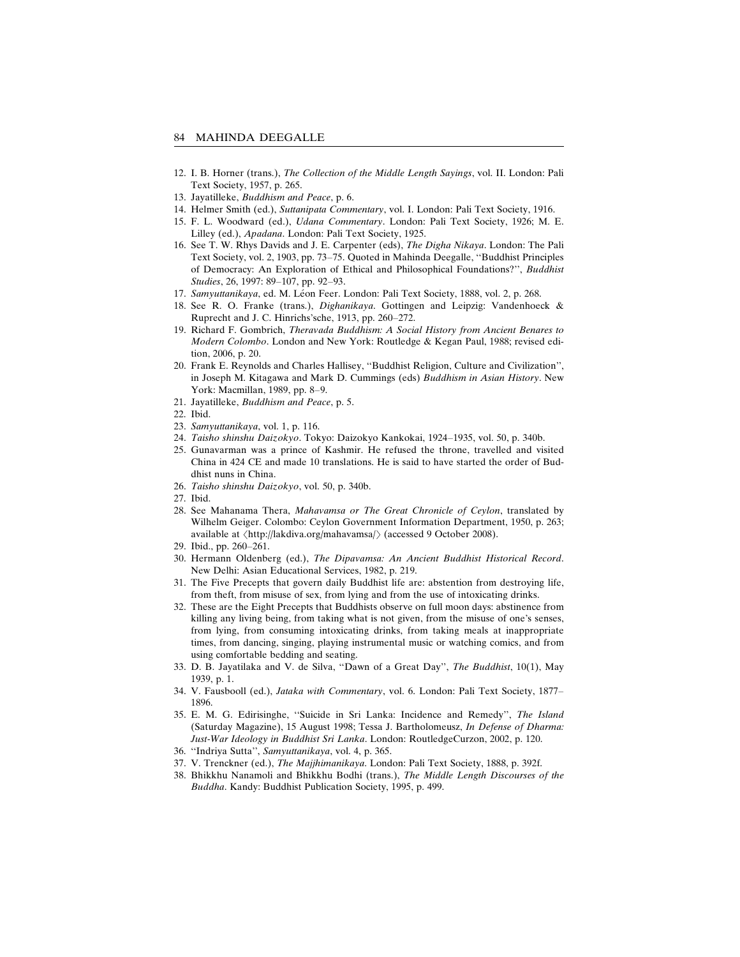- 12. I. B. Horner (trans.), The Collection of the Middle Length Sayings, vol. II. London: Pali Text Society, 1957, p. 265.
- 13. Jayatilleke, Buddhism and Peace, p. 6.
- 14. Helmer Smith (ed.), Suttanipata Commentary, vol. I. London: Pali Text Society, 1916.
- 15. F. L. Woodward (ed.), Udana Commentary. London: Pali Text Society, 1926; M. E. Lilley (ed.), Apadana. London: Pali Text Society, 1925.
- 16. See T. W. Rhys Davids and J. E. Carpenter (eds), The Digha Nikaya. London: The Pali Text Society, vol. 2, 1903, pp. 73–75. Quoted in Mahinda Deegalle, ''Buddhist Principles of Democracy: An Exploration of Ethical and Philosophical Foundations?'', Buddhist Studies, 26, 1997: 89–107, pp. 92–93.
- 17. Samyuttanikaya, ed. M. Léon Feer. London: Pali Text Society, 1888, vol. 2, p. 268.
- See R. O. Franke (trans.), Dighanikaya. Gottingen and Leipzig: Vandenhoeck & Ruprecht and J. C. Hinrichs'sche, 1913, pp. 260–272.
- 19. Richard F. Gombrich, Theravada Buddhism: A Social History from Ancient Benares to Modern Colombo. London and New York: Routledge & Kegan Paul, 1988; revised edition, 2006, p. 20.
- 20. Frank E. Reynolds and Charles Hallisey, ''Buddhist Religion, Culture and Civilization'', in Joseph M. Kitagawa and Mark D. Cummings (eds) Buddhism in Asian History. New York: Macmillan, 1989, pp. 8–9.
- 21. Jayatilleke, Buddhism and Peace, p. 5.
- 22. Ibid.
- 23. Samyuttanikaya, vol. 1, p. 116.
- 24. Taisho shinshu Daizokyo. Tokyo: Daizokyo Kankokai, 1924–1935, vol. 50, p. 340b.
- 25. Gunavarman was a prince of Kashmir. He refused the throne, travelled and visited China in 424 CE and made 10 translations. He is said to have started the order of Buddhist nuns in China.
- 26. Taisho shinshu Daizokyo, vol. 50, p. 340b.
- 27. Ibid.
- 28. See Mahanama Thera, Mahavamsa or The Great Chronicle of Ceylon, translated by Wilhelm Geiger. Colombo: Ceylon Government Information Department, 1950, p. 263; available at  $\langle$ http://lakdiva.org/mahavamsa/ $\rangle$  (accessed 9 October 2008).
- 29. Ibid., pp. 260–261.
- 30. Hermann Oldenberg (ed.), The Dipavamsa: An Ancient Buddhist Historical Record. New Delhi: Asian Educational Services, 1982, p. 219.
- 31. The Five Precepts that govern daily Buddhist life are: abstention from destroying life, from theft, from misuse of sex, from lying and from the use of intoxicating drinks.
- 32. These are the Eight Precepts that Buddhists observe on full moon days: abstinence from killing any living being, from taking what is not given, from the misuse of one's senses, from lying, from consuming intoxicating drinks, from taking meals at inappropriate times, from dancing, singing, playing instrumental music or watching comics, and from using comfortable bedding and seating.
- 33. D. B. Jayatilaka and V. de Silva, ''Dawn of a Great Day'', The Buddhist, 10(1), May 1939, p. 1.
- 34. V. Fausbooll (ed.), Jataka with Commentary, vol. 6. London: Pali Text Society, 1877– 1896.
- 35. E. M. G. Edirisinghe, ''Suicide in Sri Lanka: Incidence and Remedy'', The Island (Saturday Magazine), 15 August 1998; Tessa J. Bartholomeusz, In Defense of Dharma: Just-War Ideology in Buddhist Sri Lanka. London: RoutledgeCurzon, 2002, p. 120.
- 36. ''Indriya Sutta'', Samyuttanikaya, vol. 4, p. 365.
- 37. V. Trenckner (ed.), The Majjhimanikaya. London: Pali Text Society, 1888, p. 392f.
- 38. Bhikkhu Nanamoli and Bhikkhu Bodhi (trans.), The Middle Length Discourses of the Buddha. Kandy: Buddhist Publication Society, 1995, p. 499.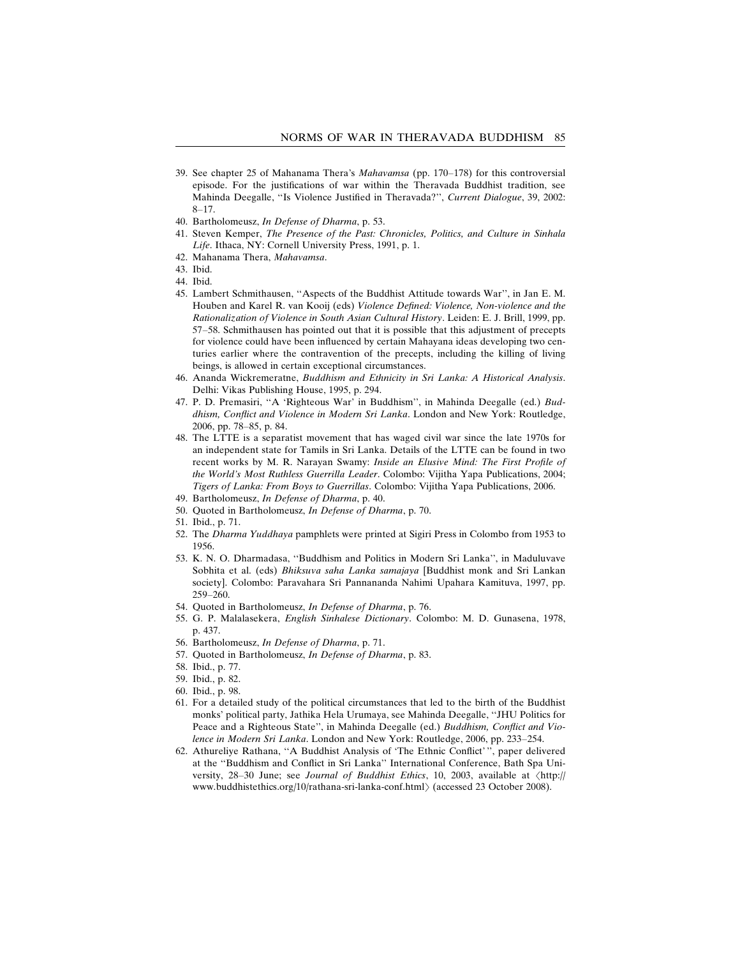- 39. See chapter 25 of Mahanama Thera's Mahavamsa (pp. 170–178) for this controversial episode. For the justifications of war within the Theravada Buddhist tradition, see Mahinda Deegalle, ''Is Violence Justified in Theravada?'', Current Dialogue, 39, 2002:  $8 - 17$ .
- 40. Bartholomeusz, In Defense of Dharma, p. 53.
- 41. Steven Kemper, The Presence of the Past: Chronicles, Politics, and Culture in Sinhala Life. Ithaca, NY: Cornell University Press, 1991, p. 1.
- 42. Mahanama Thera, Mahavamsa.
- 43. Ibid.
- 44. Ibid.
- 45. Lambert Schmithausen, ''Aspects of the Buddhist Attitude towards War'', in Jan E. M. Houben and Karel R. van Kooij (eds) Violence Defined: Violence, Non-violence and the Rationalization of Violence in South Asian Cultural History. Leiden: E. J. Brill, 1999, pp. 57–58. Schmithausen has pointed out that it is possible that this adjustment of precepts for violence could have been influenced by certain Mahayana ideas developing two centuries earlier where the contravention of the precepts, including the killing of living beings, is allowed in certain exceptional circumstances.
- 46. Ananda Wickremeratne, Buddhism and Ethnicity in Sri Lanka: A Historical Analysis. Delhi: Vikas Publishing House, 1995, p. 294.
- 47. P. D. Premasiri, "A 'Righteous War' in Buddhism", in Mahinda Deegalle (ed.) Buddhism, Conflict and Violence in Modern Sri Lanka. London and New York: Routledge, 2006, pp. 78–85, p. 84.
- 48. The LTTE is a separatist movement that has waged civil war since the late 1970s for an independent state for Tamils in Sri Lanka. Details of the LTTE can be found in two recent works by M. R. Narayan Swamy: Inside an Elusive Mind: The First Profile of the World's Most Ruthless Guerrilla Leader. Colombo: Vijitha Yapa Publications, 2004; Tigers of Lanka: From Boys to Guerrillas. Colombo: Vijitha Yapa Publications, 2006.
- 49. Bartholomeusz, In Defense of Dharma, p. 40.
- 50. Quoted in Bartholomeusz, In Defense of Dharma, p. 70.
- 51. Ibid., p. 71.
- 52. The Dharma Yuddhaya pamphlets were printed at Sigiri Press in Colombo from 1953 to 1956.
- 53. K. N. O. Dharmadasa, ''Buddhism and Politics in Modern Sri Lanka'', in Maduluvave Sobhita et al. (eds) Bhiksuva saha Lanka samajaya [Buddhist monk and Sri Lankan society]. Colombo: Paravahara Sri Pannananda Nahimi Upahara Kamituva, 1997, pp. 259–260.
- 54. Quoted in Bartholomeusz, In Defense of Dharma, p. 76.
- 55. G. P. Malalasekera, English Sinhalese Dictionary. Colombo: M. D. Gunasena, 1978, p. 437.
- 56. Bartholomeusz, In Defense of Dharma, p. 71.
- 57. Quoted in Bartholomeusz, In Defense of Dharma, p. 83.
- 58. Ibid., p. 77.
- 59. Ibid., p. 82.
- 60. Ibid., p. 98.
- 61. For a detailed study of the political circumstances that led to the birth of the Buddhist monks' political party, Jathika Hela Urumaya, see Mahinda Deegalle, ''JHU Politics for Peace and a Righteous State'', in Mahinda Deegalle (ed.) Buddhism, Conflict and Violence in Modern Sri Lanka. London and New York: Routledge, 2006, pp. 233–254.
- 62. Athureliye Rathana, ''A Buddhist Analysis of 'The Ethnic Conflict' '', paper delivered at the ''Buddhism and Conflict in Sri Lanka'' International Conference, Bath Spa University, 28-30 June; see *Journal of Buddhist Ethics*, 10, 2003, available at  $\langle$ http:// www.buddhistethics.org/10/rathana-sri-lanka-conf.html> (accessed 23 October 2008).